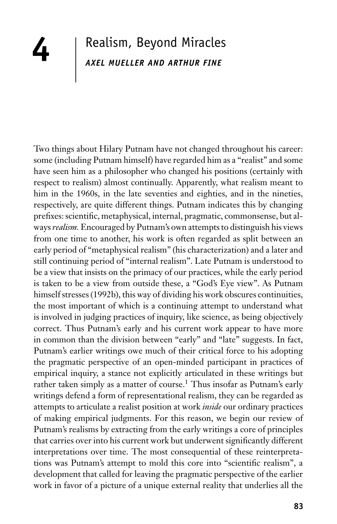# **4** Realism, Beyond Miracles<br>*AXEL MUELLER AND ARTHUR FINE*

Two things about Hilary Putnam have not changed throughout his career: some (including Putnam himself) have regarded him as a "realist" and some have seen him as a philosopher who changed his positions (certainly with respect to realism) almost continually. Apparently, what realism meant to him in the 1960s, in the late seventies and eighties, and in the nineties, respectively, are quite different things. Putnam indicates this by changing prefixes: scientific, metaphysical, internal, pragmatic, commonsense, but always *realism.* Encouraged by Putnam's own attempts to distinguish his views from one time to another, his work is often regarded as split between an early period of "metaphysical realism" (his characterization) and a later and still continuing period of "internal realism". Late Putnam is understood to be a view that insists on the primacy of our practices, while the early period is taken to be a view from outside these, a "God's Eye view". As Putnam himself stresses (1992b), this way of dividing his work obscures continuities, the most important of which is a continuing attempt to understand what is involved in judging practices of inquiry, like science, as being objectively correct. Thus Putnam's early and his current work appear to have more in common than the division between "early" and "late" suggests. In fact, Putnam's earlier writings owe much of their critical force to his adopting the pragmatic perspective of an open-minded participant in practices of empirical inquiry, a stance not explicitly articulated in these writings but rather taken simply as a matter of course.<sup>1</sup> Thus insofar as Putnam's early writings defend a form of representational realism, they can be regarded as attempts to articulate a realist position at work *inside* our ordinary practices of making empirical judgments. For this reason, we begin our review of Putnam's realisms by extracting from the early writings a core of principles that carries over into his current work but underwent significantly different interpretations over time. The most consequential of these reinterpretations was Putnam's attempt to mold this core into "scientific realism", a development that called for leaving the pragmatic perspective of the earlier work in favor of a picture of a unique external reality that underlies all the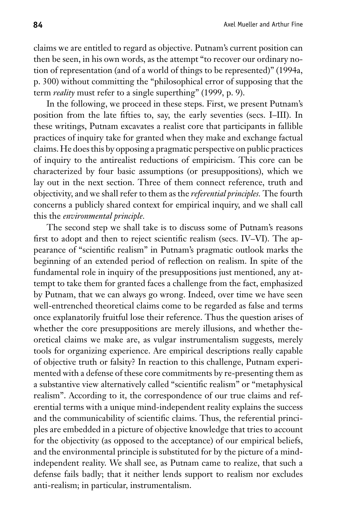claims we are entitled to regard as objective. Putnam's current position can then be seen, in his own words, as the attempt "to recover our ordinary notion of representation (and of a world of things to be represented)" (1994a, p. 300) without committing the "philosophical error of supposing that the term *reality* must refer to a single superthing" (1999, p. 9).

In the following, we proceed in these steps. First, we present Putnam's position from the late fifties to, say, the early seventies (secs. I–III). In these writings, Putnam excavates a realist core that participants in fallible practices of inquiry take for granted when they make and exchange factual claims. He does this by opposing a pragmatic perspective on public practices of inquiry to the antirealist reductions of empiricism. This core can be characterized by four basic assumptions (or presuppositions), which we lay out in the next section. Three of them connect reference, truth and objectivity, and we shall refer to them as the *referential principles.* The fourth concerns a publicly shared context for empirical inquiry, and we shall call this the *environmental principle.*

The second step we shall take is to discuss some of Putnam's reasons first to adopt and then to reject scientific realism (secs. IV–VI). The appearance of "scientific realism" in Putnam's pragmatic outlook marks the beginning of an extended period of reflection on realism. In spite of the fundamental role in inquiry of the presuppositions just mentioned, any attempt to take them for granted faces a challenge from the fact, emphasized by Putnam, that we can always go wrong. Indeed, over time we have seen well-entrenched theoretical claims come to be regarded as false and terms once explanatorily fruitful lose their reference. Thus the question arises of whether the core presuppositions are merely illusions, and whether theoretical claims we make are, as vulgar instrumentalism suggests, merely tools for organizing experience. Are empirical descriptions really capable of objective truth or falsity? In reaction to this challenge, Putnam experimented with a defense of these core commitments by re-presenting them as a substantive view alternatively called "scientific realism" or "metaphysical realism". According to it, the correspondence of our true claims and referential terms with a unique mind-independent reality explains the success and the communicability of scientific claims. Thus, the referential principles are embedded in a picture of objective knowledge that tries to account for the objectivity (as opposed to the acceptance) of our empirical beliefs, and the environmental principle is substituted for by the picture of a mindindependent reality. We shall see, as Putnam came to realize, that such a defense fails badly; that it neither lends support to realism nor excludes anti-realism; in particular, instrumentalism.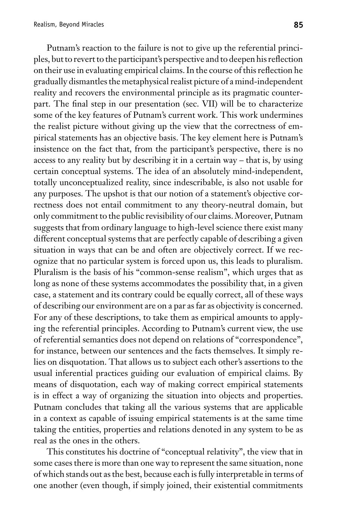Putnam's reaction to the failure is not to give up the referential principles, but to revert to the participant's perspective and to deepen his reflection on their use in evaluating empirical claims. In the course of this reflection he gradually dismantles the metaphysical realist picture of a mind-independent reality and recovers the environmental principle as its pragmatic counterpart. The final step in our presentation (sec. VII) will be to characterize some of the key features of Putnam's current work. This work undermines the realist picture without giving up the view that the correctness of empirical statements has an objective basis. The key element here is Putnam's insistence on the fact that, from the participant's perspective, there is no access to any reality but by describing it in a certain way – that is, by using certain conceptual systems. The idea of an absolutely mind-independent, totally unconceptualized reality, since indescribable, is also not usable for any purposes. The upshot is that our notion of a statement's objective correctness does not entail commitment to any theory-neutral domain, but only commitment to the public revisibility of our claims. Moreover, Putnam suggests that from ordinary language to high-level science there exist many different conceptual systems that are perfectly capable of describing a given situation in ways that can be and often are objectively correct. If we recognize that no particular system is forced upon us, this leads to pluralism. Pluralism is the basis of his "common-sense realism", which urges that as long as none of these systems accommodates the possibility that, in a given case, a statement and its contrary could be equally correct, all of these ways of describing our environment are on a par as far as objectivity is concerned. For any of these descriptions, to take them as empirical amounts to applying the referential principles. According to Putnam's current view, the use of referential semantics does not depend on relations of "correspondence", for instance, between our sentences and the facts themselves. It simply relies on disquotation. That allows us to subject each other's assertions to the usual inferential practices guiding our evaluation of empirical claims. By means of disquotation, each way of making correct empirical statements is in effect a way of organizing the situation into objects and properties. Putnam concludes that taking all the various systems that are applicable in a context as capable of issuing empirical statements is at the same time taking the entities, properties and relations denoted in any system to be as real as the ones in the others.

This constitutes his doctrine of "conceptual relativity", the view that in some cases there is more than one way to represent the same situation, none of which stands out as the best, because each is fully interpretable in terms of one another (even though, if simply joined, their existential commitments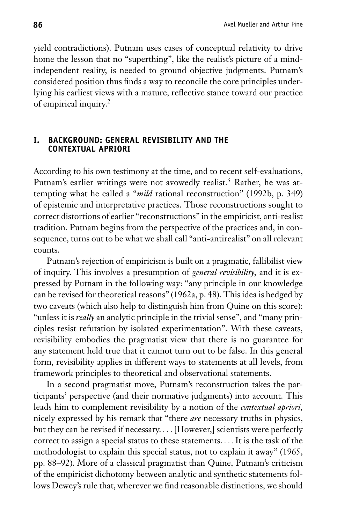yield contradictions). Putnam uses cases of conceptual relativity to drive home the lesson that no "superthing", like the realist's picture of a mindindependent reality, is needed to ground objective judgments. Putnam's considered position thus finds a way to reconcile the core principles underlying his earliest views with a mature, reflective stance toward our practice of empirical inquiry.<sup>2</sup>

#### **I. BACKGROUND: GENERAL REVISIBILITY AND THE CONTEXTUAL APRIORI**

According to his own testimony at the time, and to recent self-evaluations, Putnam's earlier writings were not avowedly realist.<sup>3</sup> Rather, he was attempting what he called a "*mild* rational reconstruction" (1992b, p. 349) of epistemic and interpretative practices. Those reconstructions sought to correct distortions of earlier "reconstructions" in the empiricist, anti-realist tradition. Putnam begins from the perspective of the practices and, in consequence, turns out to be what we shall call "anti-antirealist" on all relevant counts.

Putnam's rejection of empiricism is built on a pragmatic, fallibilist view of inquiry. This involves a presumption of *general revisibility,* and it is expressed by Putnam in the following way: "any principle in our knowledge can be revised for theoretical reasons" (1962a, p. 48). This idea is hedged by two caveats (which also help to distinguish him from Quine on this score): "unless it is *really* an analytic principle in the trivial sense", and "many principles resist refutation by isolated experimentation". With these caveats, revisibility embodies the pragmatist view that there is no guarantee for any statement held true that it cannot turn out to be false. In this general form, revisibility applies in different ways to statements at all levels, from framework principles to theoretical and observational statements.

In a second pragmatist move, Putnam's reconstruction takes the participants' perspective (and their normative judgments) into account. This leads him to complement revisibility by a notion of the *contextual apriori,* nicely expressed by his remark that "there *are* necessary truths in physics, but they can be revised if necessary. ... [However,] scientists were perfectly correct to assign a special status to these statements. ...It is the task of the methodologist to explain this special status, not to explain it away" (1965, pp. 88–92). More of a classical pragmatist than Quine, Putnam's criticism of the empiricist dichotomy between analytic and synthetic statements follows Dewey's rule that, wherever we find reasonable distinctions, we should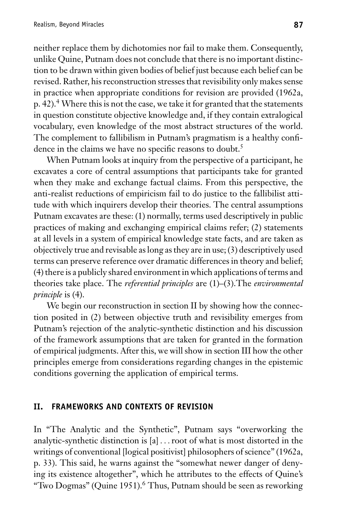neither replace them by dichotomies nor fail to make them. Consequently, unlike Quine, Putnam does not conclude that there is no important distinction to be drawn within given bodies of belief just because each belief can be revised. Rather, his reconstruction stresses that revisibility only makes sense in practice when appropriate conditions for revision are provided (1962a, p. 42).<sup>4</sup> Where this is not the case, we take it for granted that the statements in question constitute objective knowledge and, if they contain extralogical vocabulary, even knowledge of the most abstract structures of the world. The complement to fallibilism in Putnam's pragmatism is a healthy confidence in the claims we have no specific reasons to doubt.<sup>5</sup>

When Putnam looks at inquiry from the perspective of a participant, he excavates a core of central assumptions that participants take for granted when they make and exchange factual claims. From this perspective, the anti-realist reductions of empiricism fail to do justice to the fallibilist attitude with which inquirers develop their theories. The central assumptions Putnam excavates are these: (1) normally, terms used descriptively in public practices of making and exchanging empirical claims refer; (2) statements at all levels in a system of empirical knowledge state facts, and are taken as objectively true and revisable as long as they are in use; (3) descriptively used terms can preserve reference over dramatic differences in theory and belief; (4) there is a publicly shared environment in which applications of terms and theories take place. The *referential principles* are (1)–(3).The *environmental principle* is (4).

We begin our reconstruction in section II by showing how the connection posited in (2) between objective truth and revisibility emerges from Putnam's rejection of the analytic-synthetic distinction and his discussion of the framework assumptions that are taken for granted in the formation of empirical judgments. After this, we will show in section III how the other principles emerge from considerations regarding changes in the epistemic conditions governing the application of empirical terms.

#### **II. FRAMEWORKS AND CONTEXTS OF REVISION**

In "The Analytic and the Synthetic", Putnam says "overworking the analytic-synthetic distinction is [a] ...root of what is most distorted in the writings of conventional [logical positivist] philosophers of science" (1962a, p. 33). This said, he warns against the "somewhat newer danger of denying its existence altogether", which he attributes to the effects of Quine's "Two Dogmas" (Quine 1951).<sup>6</sup> Thus, Putnam should be seen as reworking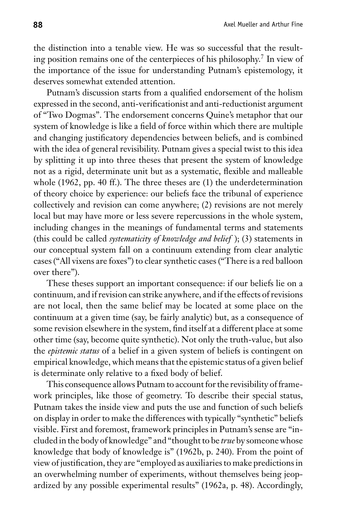the distinction into a tenable view. He was so successful that the resulting position remains one of the centerpieces of his philosophy.<sup>7</sup> In view of the importance of the issue for understanding Putnam's epistemology, it deserves somewhat extended attention.

Putnam's discussion starts from a qualified endorsement of the holism expressed in the second, anti-verificationist and anti-reductionist argument of "Two Dogmas". The endorsement concerns Quine's metaphor that our system of knowledge is like a field of force within which there are multiple and changing justificatory dependencies between beliefs, and is combined with the idea of general revisibility. Putnam gives a special twist to this idea by splitting it up into three theses that present the system of knowledge not as a rigid, determinate unit but as a systematic, flexible and malleable whole (1962, pp. 40 ff.). The three theses are (1) the underdetermination of theory choice by experience: our beliefs face the tribunal of experience collectively and revision can come anywhere; (2) revisions are not merely local but may have more or less severe repercussions in the whole system, including changes in the meanings of fundamental terms and statements (this could be called *systematicity of knowledge and belief* ); (3) statements in our conceptual system fall on a continuum extending from clear analytic cases ("All vixens are foxes") to clear synthetic cases ("There is a red balloon over there").

These theses support an important consequence: if our beliefs lie on a continuum, and if revision can strike anywhere, and if the effects of revisions are not local, then the same belief may be located at some place on the continuum at a given time (say, be fairly analytic) but, as a consequence of some revision elsewhere in the system, find itself at a different place at some other time (say, become quite synthetic). Not only the truth-value, but also the *epistemic status* of a belief in a given system of beliefs is contingent on empirical knowledge, which means that the epistemic status of a given belief is determinate only relative to a fixed body of belief.

This consequence allows Putnam to account for the revisibility of framework principles, like those of geometry. To describe their special status, Putnam takes the inside view and puts the use and function of such beliefs on display in order to make the differences with typically "synthetic" beliefs visible. First and foremost, framework principles in Putnam's sense are "included in the body of knowledge" and "thought to be *true* by someone whose knowledge that body of knowledge is" (1962b, p. 240). From the point of view of justification, they are "employed as auxiliaries to make predictions in an overwhelming number of experiments, without themselves being jeopardized by any possible experimental results" (1962a, p. 48). Accordingly,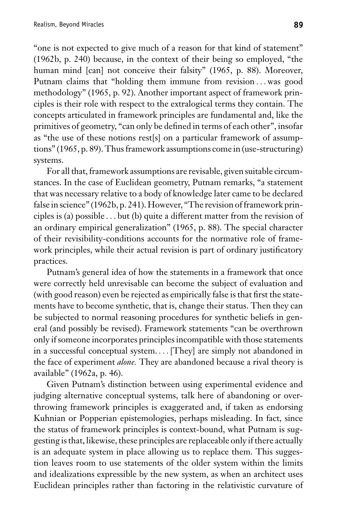"one is not expected to give much of a reason for that kind of statement"  $(1962b, p. 240)$  because, in the context of their being so employed, "the human mind [can] not conceive their falsity" (1965, p. 88). Moreover, Putnam claims that "holding them immune from revision ... was good methodology" (1965, p. 92). Another important aspect of framework principles is their role with respect to the extralogical terms they contain. The concepts articulated in framework principles are fundamental and, like the primitives of geometry, "can only be defined in terms of each other", insofar as "the use of these notions rest[s] on a particular framework of assumptions" (1965, p. 89). Thus framework assumptions come in (use-structuring) systems.

For all that, framework assumptions are revisable, given suitable circumstances. In the case of Euclidean geometry, Putnam remarks, "a statement that was necessary relative to a body of knowledge later came to be declared false in science" (1962b, p. 241). However, "The revision of framework principles is (a) possible ... but (b) quite a different matter from the revision of an ordinary empirical generalization" (1965, p. 88). The special character of their revisibility-conditions accounts for the normative role of framework principles, while their actual revision is part of ordinary justificatory practices.

Putnam's general idea of how the statements in a framework that once were correctly held unrevisable can become the subject of evaluation and (with good reason) even be rejected as empirically false is that first the statements have to become synthetic, that is, change their status. Then they can be subjected to normal reasoning procedures for synthetic beliefs in general (and possibly be revised). Framework statements "can be overthrown only if someone incorporates principles incompatible with those statements in a successful conceptual system. ... [They] are simply not abandoned in the face of experiment *alone.* They are abandoned because a rival theory is available" (1962a, p. 46).

Given Putnam's distinction between using experimental evidence and judging alternative conceptual systems, talk here of abandoning or overthrowing framework principles is exaggerated and, if taken as endorsing Kuhnian or Popperian epistemologies, perhaps misleading. In fact, since the status of framework principles is context-bound, what Putnam is suggesting is that, likewise, these principles are replaceable only if there actually is an adequate system in place allowing us to replace them. This suggestion leaves room to use statements of the older system within the limits and idealizations expressible by the new system, as when an architect uses Euclidean principles rather than factoring in the relativistic curvature of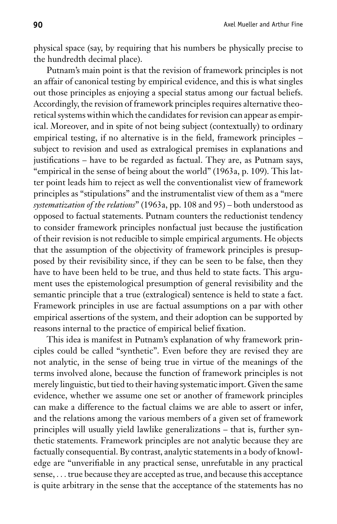physical space (say, by requiring that his numbers be physically precise to the hundredth decimal place).

Putnam's main point is that the revision of framework principles is not an affair of canonical testing by empirical evidence, and this is what singles out those principles as enjoying a special status among our factual beliefs. Accordingly, the revision of framework principles requires alternative theoretical systems within which the candidates for revision can appear as empirical. Moreover, and in spite of not being subject (contextually) to ordinary empirical testing, if no alternative is in the field, framework principles – subject to revision and used as extralogical premises in explanations and justifications – have to be regarded as factual. They are, as Putnam says, "empirical in the sense of being about the world" (1963a, p. 109). This latter point leads him to reject as well the conventionalist view of framework principles as "stipulations" and the instrumentalist view of them as a "mere *systematization of the relations*" (1963a, pp. 108 and 95) – both understood as opposed to factual statements. Putnam counters the reductionist tendency to consider framework principles nonfactual just because the justification of their revision is not reducible to simple empirical arguments. He objects that the assumption of the objectivity of framework principles is presupposed by their revisibility since, if they can be seen to be false, then they have to have been held to be true, and thus held to state facts. This argument uses the epistemological presumption of general revisibility and the semantic principle that a true (extralogical) sentence is held to state a fact. Framework principles in use are factual assumptions on a par with other empirical assertions of the system, and their adoption can be supported by reasons internal to the practice of empirical belief fixation.

This idea is manifest in Putnam's explanation of why framework principles could be called "synthetic". Even before they are revised they are not analytic, in the sense of being true in virtue of the meanings of the terms involved alone, because the function of framework principles is not merely linguistic, but tied to their having systematic import. Given the same evidence, whether we assume one set or another of framework principles can make a difference to the factual claims we are able to assert or infer, and the relations among the various members of a given set of framework principles will usually yield lawlike generalizations – that is, further synthetic statements. Framework principles are not analytic because they are factually consequential. By contrast, analytic statements in a body of knowledge are "unverifiable in any practical sense, unrefutable in any practical sense, ... true because they are accepted as true, and because this acceptance is quite arbitrary in the sense that the acceptance of the statements has no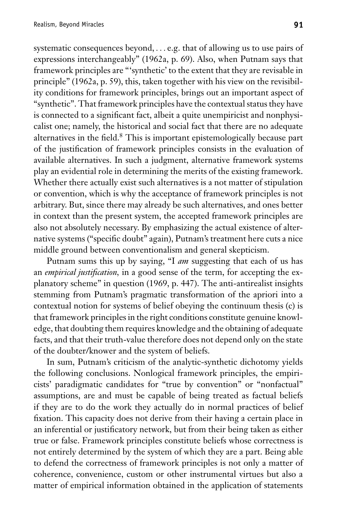systematic consequences beyond, ... e.g. that of allowing us to use pairs of expressions interchangeably" (1962a, p. 69). Also, when Putnam says that framework principles are "'synthetic' to the extent that they are revisable in principle" (1962a, p. 59), this, taken together with his view on the revisibility conditions for framework principles, brings out an important aspect of "synthetic". That framework principles have the contextual status they have is connected to a significant fact, albeit a quite unempiricist and nonphysicalist one; namely, the historical and social fact that there are no adequate alternatives in the field.<sup>8</sup> This is important epistemologically because part of the justification of framework principles consists in the evaluation of available alternatives. In such a judgment, alternative framework systems play an evidential role in determining the merits of the existing framework. Whether there actually exist such alternatives is a not matter of stipulation or convention, which is why the acceptance of framework principles is not arbitrary. But, since there may already be such alternatives, and ones better in context than the present system, the accepted framework principles are also not absolutely necessary. By emphasizing the actual existence of alternative systems ("specific doubt" again), Putnam's treatment here cuts a nice middle ground between conventionalism and general skepticism.

Putnam sums this up by saying, "I *am* suggesting that each of us has an *empirical justification,* in a good sense of the term, for accepting the explanatory scheme" in question (1969, p. 447). The anti-antirealist insights stemming from Putnam's pragmatic transformation of the apriori into a contextual notion for systems of belief obeying the continuum thesis (c) is that framework principles in the right conditions constitute genuine knowledge, that doubting them requires knowledge and the obtaining of adequate facts, and that their truth-value therefore does not depend only on the state of the doubter/knower and the system of beliefs.

In sum, Putnam's criticism of the analytic-synthetic dichotomy yields the following conclusions. Nonlogical framework principles, the empiricists' paradigmatic candidates for "true by convention" or "nonfactual" assumptions, are and must be capable of being treated as factual beliefs if they are to do the work they actually do in normal practices of belief fixation. This capacity does not derive from their having a certain place in an inferential or justificatory network, but from their being taken as either true or false. Framework principles constitute beliefs whose correctness is not entirely determined by the system of which they are a part. Being able to defend the correctness of framework principles is not only a matter of coherence, convenience, custom or other instrumental virtues but also a matter of empirical information obtained in the application of statements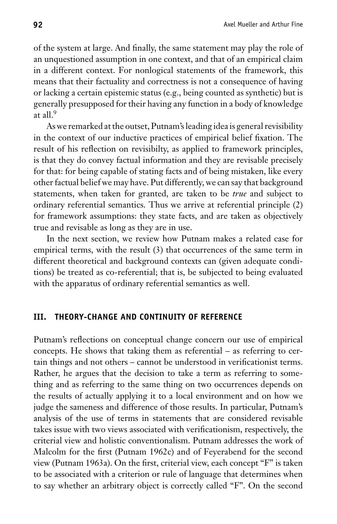of the system at large. And finally, the same statement may play the role of an unquestioned assumption in one context, and that of an empirical claim in a different context. For nonlogical statements of the framework, this means that their factuality and correctness is not a consequence of having orlacking a certain epistemic status (e.g., being counted as synthetic) but is generally presupposed for their having any function in a body of knowledge at all  $9$ 

As we remarked at the outset, Putnam's leading idea is general revisibility in the context of our inductive practices of empirical belief fixation. The result of his reflection on revisibilty, as applied to framework principles, is that they do convey factual information and they are revisable precisely for that: for being capable of stating facts and of being mistaken, like every other factual belief we may have. Put differently, we can say that background statements, when taken for granted, are taken to be *true* and subject to ordinary referential semantics. Thus we arrive at referential principle (2) for framework assumptions: they state facts, and are taken as objectively true and revisable as long as they are in use.

In the next section, we review how Putnam makes a related case for empirical terms, with the result (3) that occurrences of the same term in different theoretical and background contexts can (given adequate conditions) be treated as co-referential; that is, be subjected to being evaluated with the apparatus of ordinary referential semantics as well.

#### **III. THEORY-CHANGE AND CONTINUITY OF REFERENCE**

Putnam's reflections on conceptual change concern our use of empirical concepts. He shows that taking them as referential – as referring to certain things and not others – cannot be understood in verificationist terms. Rather, he argues that the decision to take a term as referring to something and as referring to the same thing on two occurrences depends on the results of actually applying it to a local environment and on how we judge the sameness and difference of those results. In particular, Putnam's analysis of the use of terms in statements that are considered revisable takes issue with two views associated with verificationism, respectively, the criterial view and holistic conventionalism. Putnam addresses the work of Malcolm for the first (Putnam 1962c) and of Feyerabend for the second view (Putnam 1963a). On the first, criterial view, each concept "F" is taken to be associated with a criterion or rule of language that determines when to say whether an arbitrary object is correctly called "F". On the second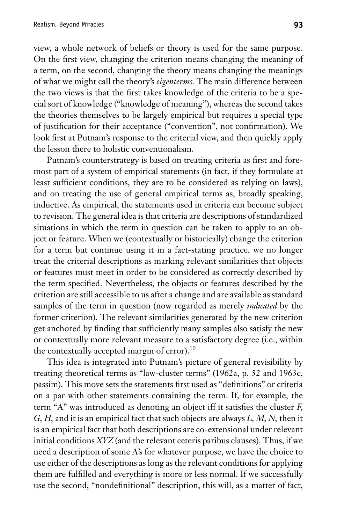view, a whole network of beliefs or theory is used for the same purpose. On the first view, changing the criterion means changing the meaning of a term, on the second, changing the theory means changing the meanings of what we might call the theory's *eigenterms.* The main difference between the two views is that the first takes knowledge of the criteria to be a special sort of knowledge ("knowledge of meaning"), whereas the second takes the theories themselves to be largely empirical but requires a special type of justification for their acceptance ("convention", not confirmation). We look first at Putnam's response to the criterial view, and then quickly apply the lesson there to holistic conventionalism.

Putnam's counterstrategy is based on treating criteria as first and foremost part of a system of empirical statements (in fact, if they formulate at least sufficient conditions, they are to be considered as relying on laws), and on treating the use of general empirical terms as, broadly speaking, inductive. As empirical, the statements used in criteria can become subject to revision. The general idea is that criteria are descriptions of standardized situations in which the term in question can be taken to apply to an object or feature. When we (contextually or historically) change the criterion for a term but continue using it in a fact-stating practice, we no longer treat the criterial descriptions as marking relevant similarities that objects or features must meet in order to be considered as correctly described by the term specified. Nevertheless, the objects or features described by the criterion are still accessible to us after a change and are available as standard samples of the term in question (now regarded as merely *indicated* by the former criterion). The relevant similarities generated by the new criterion get anchored by finding that sufficiently many samples also satisfy the new or contextually more relevant measure to a satisfactory degree (i.e., within the contextually accepted margin of error).<sup>10</sup>

This idea is integrated into Putnam's picture of general revisibility by treating theoretical terms as "law-cluster terms" (1962a, p. 52 and 1963c, passim). This move sets the statements first used as "definitions" or criteria on a par with other statements containing the term. If, for example, the term "A" was introduced as denoting an object iff it satisfies the cluster *F, G, H,* and it is an empirical fact that such objects are always *L, M, N,* then it is an empirical fact that both descriptions are co-extensional under relevant initial conditions *XYZ* (and the relevant ceteris paribus clauses). Thus, if we need a description of some A's for whatever purpose, we have the choice to use either of the descriptions as long as the relevant conditions for applying them are fulfilled and everything is more or less normal. If we successfully use the second, "nondefinitional" description, this will, as a matter of fact,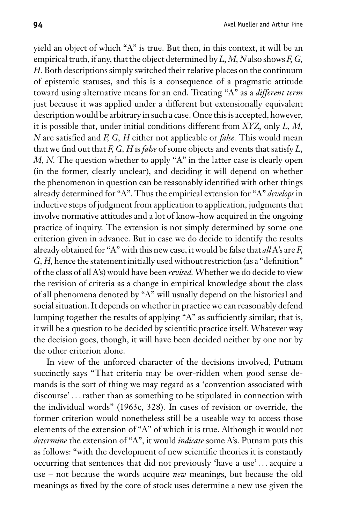yield an object of which "A" is true. But then, in this context, it will be an empirical truth, if any, that the object determined by *L, M, N* also shows *F, G, H.* Both descriptions simply switched their relative places on the continuum of epistemic statuses, and this is a consequence of a pragmatic attitude toward using alternative means for an end. Treating "A" as a *different term* just because it was applied under a different but extensionally equivalent description would be arbitrary in such a case. Once this is accepted, however, it is possible that, under initial conditions different from *XYZ,* only *L, M, N* are satisfied and *F, G, H* either not applicable or *false*. This would mean that we find out that *F, G, H* is *false* of some objects and events that satisfy *L, M, N.* The question whether to apply "A" in the latter case is clearly open (in the former, clearly unclear), and deciding it will depend on whether the phenomenon in question can be reasonably identified with other things already determined for "A". Thus the empirical extension for "A" *develops* in inductive steps of judgment from application to application, judgments that involve normative attitudes and a lot of know-how acquired in the ongoing practice of inquiry. The extension is not simply determined by some one criterion given in advance. But in case we do decide to identify the results already obtained for "A" with this new case, it would be false that *all*A's are *F, G, H,* hence the statement initially used without restriction (as a "definition" of the class of all A's) would have been *revised.*Whetherwe do decide to view the revision of criteria as a change in empirical knowledge about the class of all phenomena denoted by "A" will usually depend on the historical and social situation. It depends on whether in practice we can reasonably defend lumping together the results of applying "A" as sufficiently similar; that is, it will be a question to be decided by scientific practice itself. Whatever way the decision goes, though, it will have been decided neither by one nor by the other criterion alone.

In view of the unforced character of the decisions involved, Putnam succinctly says "That criteria may be over-ridden when good sense demands is the sort of thing we may regard as a 'convention associated with discourse' ...rather than as something to be stipulated in connection with the individual words" (1963c, 328). In cases of revision or override, the former criterion would nonetheless still be a useable way to access those elements of the extension of "A" of which it is true. Although it would not *determine* the extension of "A", it would *indicate* some A's. Putnam puts this as follows: "with the development of new scientific theories it is constantly occurring that sentences that did not previously 'have a use' ... acquire a use – not because the words acquire *new* meanings, but because the old meanings as fixed by the core of stock uses determine a new use given the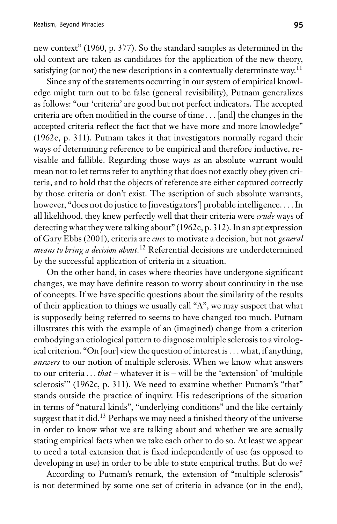new context" (1960, p. 377). So the standard samples as determined in the old context are taken as candidates for the application of the new theory, satisfying (or not) the new descriptions in a contextually determinate way.<sup>11</sup>

Since any of the statements occurring in our system of empirical knowledge might turn out to be false (general revisibility), Putnam generalizes as follows: "our 'criteria' are good but not perfect indicators. The accepted criteria are often modified in the course of time ... [and] the changes in the accepted criteria reflect the fact that we have more and more knowledge" (1962c, p. 311). Putnam takes it that investigators normally regard their ways of determining reference to be empirical and therefore inductive, revisable and fallible. Regarding those ways as an absolute warrant would mean not to let terms refer to anything that does not exactly obey given criteria, and to hold that the objects of reference are either captured correctly by those criteria or don't exist. The ascription of such absolute warrants, however, "does not do justice to [investigators'] probable intelligence.... In all likelihood, they knew perfectly well that their criteria were *crude* ways of detecting what they were talking about" (1962c, p. 312). In an apt expression of Gary Ebbs (2001), criteria are *cues* to motivate a decision, but not *general means to bring a decision about.*<sup>12</sup> Referential decisions are underdetermined by the successful application of criteria in a situation.

On the other hand, in cases where theories have undergone significant changes, we may have definite reason to worry about continuity in the use of concepts. If we have specific questions about the similarity of the results of their application to things we usually call "A", we may suspect that what is supposedly being referred to seems to have changed too much. Putnam illustrates this with the example of an (imagined) change from a criterion embodying an etiological pattern to diagnose multiple sclerosis to a virological criterion. "On [our] view the question of interest is... what, if anything, *answers* to our notion of multiple sclerosis. When we know what answers to our criteria  $\dots$  *that* – whatever it is – will be the 'extension' of 'multiple sclerosis'" (1962c, p. 311). We need to examine whether Putnam's "that" stands outside the practice of inquiry. His redescriptions of the situation in terms of "natural kinds", "underlying conditions" and the like certainly suggest that it did.<sup>13</sup> Perhaps we may need a finished theory of the universe in order to know what we are talking about and whether we are actually stating empirical facts when we take each other to do so. At least we appear to need a total extension that is fixed independently of use (as opposed to developing in use) in order to be able to state empirical truths. But do we?

According to Putnam's remark, the extension of "multiple sclerosis" is not determined by some one set of criteria in advance (or in the end),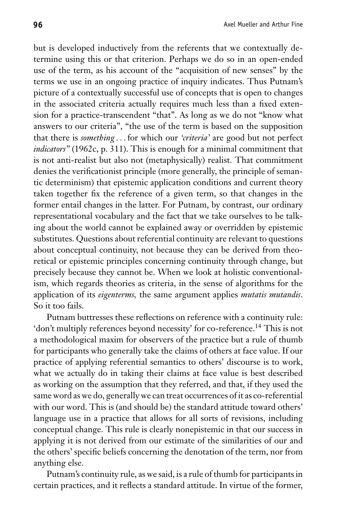but is developed inductively from the referents that we contextually determine using this or that criterion. Perhaps we do so in an open-ended use of the term, as his account of the "acquisition of new senses" by the terms we use in an ongoing practice of inquiry indicates. Thus Putnam's picture of a contextually successful use of concepts that is open to changes in the associated criteria actually requires much less than a fixed extension for a practice-transcendent "that". As long as we do not "know what answers to our criteria", "the use of the term is based on the supposition that there is *something* ... forwhich our *'criteria'* are good but not perfect *indicators"* (1962c, p. 311). This is enough for a minimal commitment that is not anti-realist but also not (metaphysically) realist. That commitment denies the verificationist principle (more generally, the principle of semantic determinism) that epistemic application conditions and current theory taken together fix the reference of a given term, so that changes in the former entail changes in the latter. For Putnam, by contrast, our ordinary representational vocabulary and the fact that we take ourselves to be talking about the world cannot be explained away or overridden by epistemic substitutes. Questions about referential continuity are relevant to questions about conceptual continuity, not because they can be derived from theoretical or epistemic principles concerning continuity through change, but precisely because they cannot be. When we look at holistic conventionalism, which regards theories as criteria, in the sense of algorithms for the application of its *eigenterms,* the same argument applies *mutatis mutandis*. So it too fails.

Putnam buttresses these reflections on reference with a continuity rule: 'don't multiply references beyond necessity' for co-reference.<sup>14</sup> This is not a methodological maxim for observers of the practice but a rule of thumb for participants who generally take the claims of others at face value. If our practice of applying referential semantics to others' discourse is to work, what we actually do in taking their claims at face value is best described as working on the assumption that they referred, and that, if they used the same word as we do, generally we can treat occurrences of it as co-referential with our word. This is (and should be) the standard attitude toward others' language use in a practice that allows for all sorts of revisions, including conceptual change. This rule is clearly nonepistemic in that our success in applying it is not derived from our estimate of the similarities of our and the others' specific beliefs concerning the denotation of the term, nor from anything else.

Putnam's continuity rule, as we said, is a rule of thumb for participants in certain practices, and it reflects a standard attitude. In virtue of the former,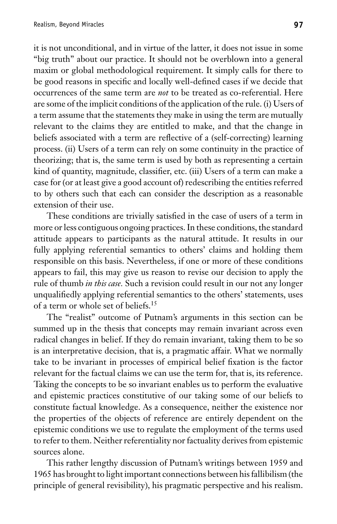it is not unconditional, and in virtue of the latter, it does not issue in some "big truth" about our practice. It should not be overblown into a general maxim or global methodological requirement. It simply calls for there to be good reasons in specific and locally well-defined cases if we decide that occurrences of the same term are *not* to be treated as co-referential. Here are some of the implicit conditions of the application of the rule. (i) Users of a term assume that the statements they make in using the term are mutually relevant to the claims they are entitled to make, and that the change in beliefs associated with a term are reflective of a (self-correcting) learning process. (ii) Users of a term can rely on some continuity in the practice of theorizing; that is, the same term is used by both as representing a certain kind of quantity, magnitude, classifier, etc. (iii) Users of a term can make a case for (or at least give a good account of) redescribing the entities referred to by others such that each can consider the description as a reasonable extension of their use.

These conditions are trivially satisfied in the case of users of a term in more or less contiguous ongoing practices. In these conditions, the standard attitude appears to participants as the natural attitude. It results in our fully applying referential semantics to others' claims and holding them responsible on this basis. Nevertheless, if one or more of these conditions appears to fail, this may give us reason to revise our decision to apply the rule of thumb *in this case.* Such a revision could result in our not any longer unqualifiedly applying referential semantics to the others' statements, uses of a term or whole set of beliefs.15

The "realist" outcome of Putnam's arguments in this section can be summed up in the thesis that concepts may remain invariant across even radical changes in belief. If they do remain invariant, taking them to be so is an interpretative decision, that is, a pragmatic affair. What we normally take to be invariant in processes of empirical belief fixation is the factor relevant for the factual claims we can use the term for, that is, its reference. Taking the concepts to be so invariant enables us to perform the evaluative and epistemic practices constitutive of our taking some of our beliefs to constitute factual knowledge. As a consequence, neither the existence nor the properties of the objects of reference are entirely dependent on the epistemic conditions we use to regulate the employment of the terms used to refer to them. Neither referentiality nor factuality derives from epistemic sources alone.

This rather lengthy discussion of Putnam's writings between 1959 and 1965 has brought to light important connections between his fallibilism (the principle of general revisibility), his pragmatic perspective and his realism.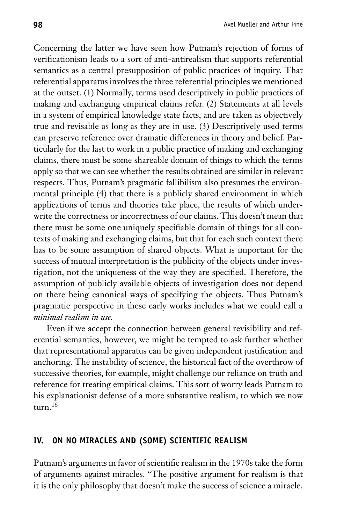Concerning the latter we have seen how Putnam's rejection of forms of verificationism leads to a sort of anti-antirealism that supports referential semantics as a central presupposition of public practices of inquiry. That referential apparatus involves the three referential principles we mentioned at the outset. (1) Normally, terms used descriptively in public practices of making and exchanging empirical claims refer. (2) Statements at all levels in a system of empirical knowledge state facts, and are taken as objectively true and revisable as long as they are in use. (3) Descriptively used terms can preserve reference over dramatic differences in theory and belief. Particularly for the last to work in a public practice of making and exchanging claims, there must be some shareable domain of things to which the terms apply so that we can see whether the results obtained are similar in relevant respects. Thus, Putnam's pragmatic fallibilism also presumes the environmental principle (4) that there is a publicly shared environment in which applications of terms and theories take place, the results of which underwrite the correctness or incorrectness of our claims. This doesn't mean that there must be some one uniquely specifiable domain of things for all contexts of making and exchanging claims, but that foreach such context there has to be some assumption of shared objects. What is important for the success of mutual interpretation is the publicity of the objects under investigation, not the uniqueness of the way they are specified. Therefore, the assumption of publicly available objects of investigation does not depend on there being canonical ways of specifying the objects. Thus Putnam's pragmatic perspective in these early works includes what we could call a *minimal realism in use.*

Even if we accept the connection between general revisibility and referential semantics, however, we might be tempted to ask further whether that representational apparatus can be given independent justification and anchoring. The instability of science, the historical fact of the overthrow of successive theories, for example, might challenge our reliance on truth and reference for treating empirical claims. This sort of worry leads Putnam to his explanationist defense of a more substantive realism, to which we now turn.<sup>16</sup>

# **IV. ON NO MIRACLES AND (SOME) SCIENTIFIC REALISM**

Putnam's arguments in favor of scientific realism in the 1970s take the form of arguments against miracles. "The positive argument for realism is that it is the only philosophy that doesn't make the success of science a miracle.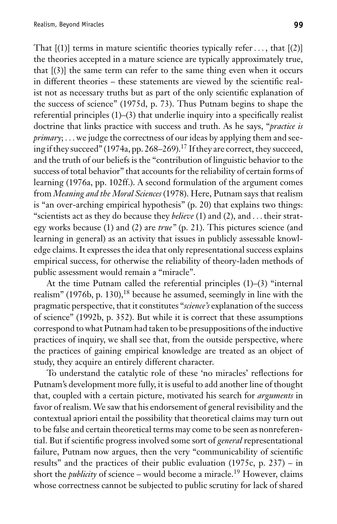That  $[(1)]$  terms in mature scientific theories typically refer..., that  $[(2)]$ the theories accepted in a mature science are typically approximately true, that  $[(3)]$  the same term can refer to the same thing even when it occurs in different theories – these statements are viewed by the scientific realist not as necessary truths but as part of the only scientific explanation of the success of science" (1975d, p. 73). Thus Putnam begins to shape the referential principles (1)–(3) that underlie inquiry into a specifically realist doctrine that links practice with success and truth. As he says, "*practice is primary*;... we judge the correctness of our ideas by applying them and seeing if they succeed" (1974a, pp. 268–269).<sup>17</sup> If they are correct, they succeed, and the truth of our beliefs is the "contribution of linguistic behavior to the success of total behavior" that accounts for the reliability of certain forms of learning (1976a, pp. 102ff.). A second formulation of the argument comes from *Meaning and the Moral Sciences* (1978). Here, Putnam says that realism is "an over-arching empirical hypothesis" (p. 20) that explains two things: "scientists act as they do because they *believe* (1) and (2), and ... their strategy works because (1) and (2) are *true"* (p. 21). This pictures science (and learning in general) as an activity that issues in publicly assessable knowledge claims. It expresses the idea that only representational success explains empirical success, for otherwise the reliability of theory-laden methods of public assessment would remain a "miracle".

At the time Putnam called the referential principles (1)–(3) "internal realism" (1976b, p. 130),<sup>18</sup> because he assumed, seemingly in line with the pragmatic perspective, that it constitutes "*science's* explanation of the success of science" (1992b, p. 352). But while it is correct that these assumptions correspond to what Putnam had taken to be presuppositions of the inductive practices of inquiry, we shall see that, from the outside perspective, where the practices of gaining empirical knowledge are treated as an object of study, they acquire an entirely different character.

To understand the catalytic role of these 'no miracles' reflections for Putnam's development more fully, it is useful to add another line of thought that, coupled with a certain picture, motivated his search for *arguments* in favor of realism. We saw that his endorsement of general revisibility and the contextual apriori entail the possibility that theoretical claims may turn out to be false and certain theoretical terms may come to be seen as nonreferential. But if scientific progress involved some sort of *general* representational failure, Putnam now argues, then the very "communicability of scientific results" and the practices of their public evaluation (1975c, p. 237) – in short the *publicity* of science – would become a miracle.<sup>19</sup> However, claims whose correctness cannot be subjected to public scrutiny for lack of shared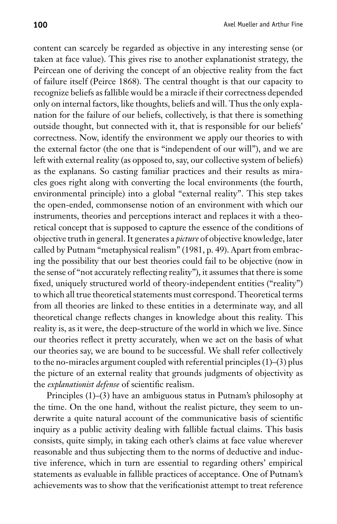content can scarcely be regarded as objective in any interesting sense (or taken at face value). This gives rise to another explanationist strategy, the Peircean one of deriving the concept of an objective reality from the fact of failure itself (Peirce 1868). The central thought is that our capacity to recognize beliefs as fallible would be a miracle if their correctness depended only on internal factors, like thoughts, beliefs and will. Thus the only explanation for the failure of our beliefs, collectively, is that there is something outside thought, but connected with it, that is responsible for our beliefs' correctness. Now, identify the environment we apply our theories to with the external factor (the one that is "independent of our will"), and we are left with external reality (as opposed to, say, our collective system of beliefs) as the explanans. So casting familiar practices and their results as miracles goes right along with converting the local environments (the fourth, environmental principle) into a global "external reality". This step takes the open-ended, commonsense notion of an environment with which our instruments, theories and perceptions interact and replaces it with a theoretical concept that is supposed to capture the essence of the conditions of objective truth in general. It generates a *picture* of objective knowledge, later called by Putnam "metaphysical realism" (1981, p. 49). Apart from embracing the possibility that our best theories could fail to be objective (now in the sense of "not accurately reflecting reality"), it assumes that there is some fixed, uniquely structured world of theory-independent entities ("reality") to which all true theoretical statements must correspond. Theoretical terms from all theories are linked to these entities in a determinate way, and all theoretical change reflects changes in knowledge about this reality. This reality is, as it were, the deep-structure of the world in which we live. Since our theories reflect it pretty accurately, when we act on the basis of what our theories say, we are bound to be successful. We shall refer collectively to the no-miracles argument coupled with referential principles (1)–(3) plus the picture of an external reality that grounds judgments of objectivity as the *explanationist defense* of scientific realism.

Principles (1)–(3) have an ambiguous status in Putnam's philosophy at the time. On the one hand, without the realist picture, they seem to underwrite a quite natural account of the communicative basis of scientific inquiry as a public activity dealing with fallible factual claims. This basis consists, quite simply, in taking each other's claims at face value wherever reasonable and thus subjecting them to the norms of deductive and inductive inference, which in turn are essential to regarding others' empirical statements as evaluable in fallible practices of acceptance. One of Putnam's achievements was to show that the verificationist attempt to treat reference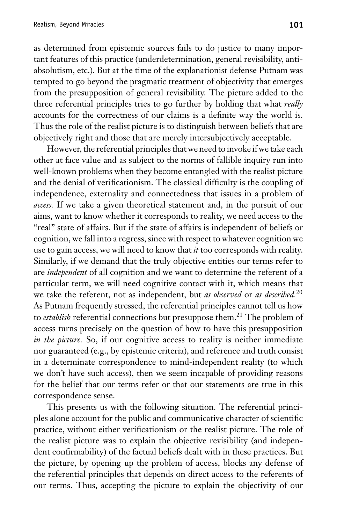as determined from epistemic sources fails to do justice to many important features of this practice (underdetermination, general revisibility, antiabsolutism, etc.). But at the time of the explanationist defense Putnam was tempted to go beyond the pragmatic treatment of objectivity that emerges from the presupposition of general revisibility. The picture added to the three referential principles tries to go further by holding that what *really* accounts for the correctness of our claims is a definite way the world is. Thus the role of the realist picture is to distinguish between beliefs that are objectively right and those that are merely intersubjectively acceptable.

However, the referential principles that we need to invoke if we take each other at face value and as subject to the norms of fallible inquiry run into well-known problems when they become entangled with the realist picture and the denial of verificationism. The classical difficulty is the coupling of independence, externality and connectedness that issues in a problem of *access.* If we take a given theoretical statement and, in the pursuit of our aims, want to know whether it corresponds to reality, we need access to the "real" state of affairs. But if the state of affairs is independent of beliefs or cognition, we fall into a regress, since with respect to whatever cognition we use to gain access, we will need to know that *it* too corresponds with reality. Similarly, if we demand that the truly objective entities our terms refer to are *independent* of all cognition and we want to determine the referent of a particular term, we will need cognitive contact with it, which means that we take the referent, not as independent, but *as observed* or *as described.*<sup>20</sup> As Putnam frequently stressed, the referential principles cannot tell us how to *establish* referential connections but presuppose them.<sup>21</sup> The problem of access turns precisely on the question of how to have this presupposition *in the picture*. So, if our cognitive access to reality is neither immediate nor guaranteed (e.g., by epistemic criteria), and reference and truth consist in a determinate correspondence to mind-independent reality (to which we don't have such access), then we seem incapable of providing reasons for the belief that our terms refer or that our statements are true in this correspondence sense.

This presents us with the following situation. The referential principles alone account for the public and communicative character of scientific practice, without either verificationism or the realist picture. The role of the realist picture was to explain the objective revisibility (and independent confirmability) of the factual beliefs dealt with in these practices. But the picture, by opening up the problem of access, blocks any defense of the referential principles that depends on direct access to the referents of our terms. Thus, accepting the picture to explain the objectivity of our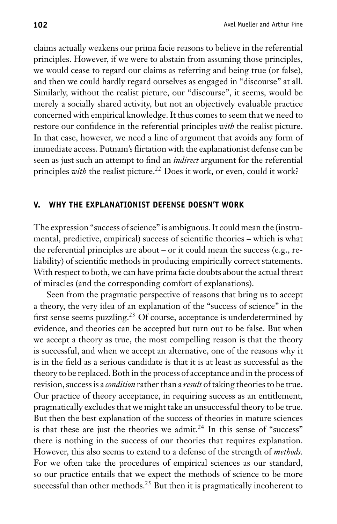claims actually weakens our prima facie reasons to believe in the referential principles. However, if we were to abstain from assuming those principles, we would cease to regard our claims as referring and being true (or false), and then we could hardly regard ourselves as engaged in "discourse" at all. Similarly, without the realist picture, our "discourse", it seems, would be merely a socially shared activity, but not an objectively evaluable practice concerned with empirical knowledge. It thus comes to seem that we need to restore our confidence in the referential principles *with* the realist picture. In that case, however, we need a line of argument that avoids any form of immediate access. Putnam's flirtation with the explanationist defense can be seen as just such an attempt to find an *indirect* argument for the referential principles *with* the realist picture.<sup>22</sup> Does it work, or even, could it work?

#### **V. WHY THE EXPLANATIONIST DEFENSE DOESN'T WORK**

The expression "success of science" is ambiguous. It could mean the (instrumental, predictive, empirical) success of scientific theories – which is what the referential principles are about – or it could mean the success (e.g., reliability) of scientific methods in producing empirically correct statements. With respect to both, we can have prima facie doubts about the actual threat of miracles (and the corresponding comfort of explanations).

Seen from the pragmatic perspective of reasons that bring us to accept a theory, the very idea of an explanation of the "success of science" in the first sense seems puzzling.23 Of course, acceptance is underdetermined by evidence, and theories can be accepted but turn out to be false. But when we accept a theory as true, the most compelling reason is that the theory is successful, and when we accept an alternative, one of the reasons why it is in the field as a serious candidate is that it is at least as successful as the theory to be replaced. Both in the process of acceptance and in the process of revision, success is a *condition* rather than a *result* of taking theories to be true. Our practice of theory acceptance, in requiring success as an entitlement, pragmatically excludes that we might take an unsuccessful theory to be true. But then the best explanation of the success of theories in mature sciences is that these are just the theories we admit.<sup>24</sup> In this sense of "success" there is nothing in the success of our theories that requires explanation. However, this also seems to extend to a defense of the strength of *methods.* For we often take the procedures of empirical sciences as our standard, so our practice entails that we expect the methods of science to be more successful than other methods.<sup>25</sup> But then it is pragmatically incoherent to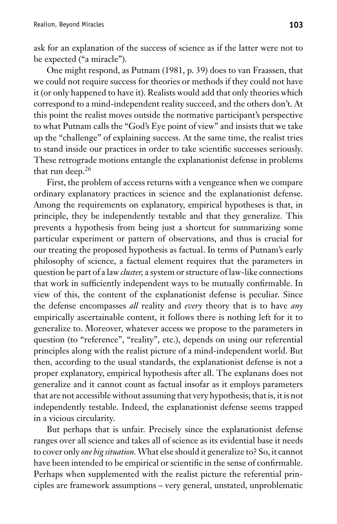ask for an explanation of the success of science as if the latter were not to be expected ("a miracle").

One might respond, as Putnam (1981, p. 39) does to van Fraassen, that we could not require success for theories or methods if they could not have it (or only happened to have it). Realists would add that only theories which correspond to a mind-independent reality succeed, and the others don't. At this point the realist moves outside the normative participant's perspective to what Putnam calls the "God's Eye point of view" and insists that we take up the "challenge" of explaining success. At the same time, the realist tries to stand inside our practices in order to take scientific successes seriously. These retrograde motions entangle the explanationist defense in problems that run deep.<sup>26</sup>

First, the problem of access returns with a vengeance when we compare ordinary explanatory practices in science and the explanationist defense. Among the requirements on explanatory, empirical hypotheses is that, in principle, they be independently testable and that they generalize. This prevents a hypothesis from being just a shortcut for summarizing some particular experiment or pattern of observations, and thus is crucial for our treating the proposed hypothesis as factual. In terms of Putnam's early philosophy of science, a factual element requires that the parameters in question be part of a law *cluster,* a system or structure of law-like connections that work in sufficiently independent ways to be mutually confirmable. In view of this, the content of the explanationist defense is peculiar. Since the defense encompasses *all* reality and *every* theory that is to have *any* empirically ascertainable content, it follows there is nothing left for it to generalize to. Moreover, whatever access we propose to the parameters in question (to "reference", "reality", etc.), depends on using our referential principles along with the realist picture of a mind-independent world. But then, according to the usual standards, the explanationist defense is not a proper explanatory, empirical hypothesis after all. The explanans does not generalize and it cannot count as factual insofar as it employs parameters that are not accessible without assuming that very hypothesis; that is, it is not independently testable. Indeed, the explanationist defense seems trapped in a vicious circularity.

But perhaps that is unfair. Precisely since the explanationist defense ranges over all science and takes all of science as its evidential base it needs to coveronly *one big situation.*What else should it generalize to? So, it cannot have been intended to be empirical or scientific in the sense of confirmable. Perhaps when supplemented with the realist picture the referential principles are framework assumptions – very general, unstated, unproblematic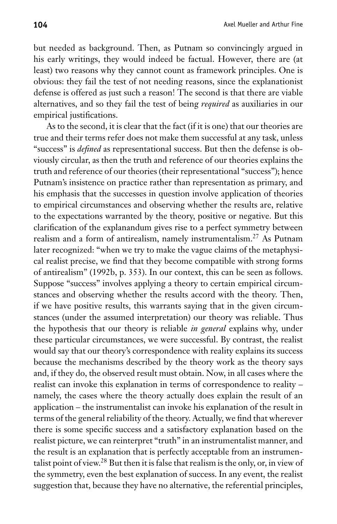but needed as background. Then, as Putnam so convincingly argued in his early writings, they would indeed be factual. However, there are (at least) two reasons why they cannot count as framework principles. One is obvious: they fail the test of not needing reasons, since the explanationist defense is offered as just such a reason! The second is that there are viable alternatives, and so they fail the test of being *required* as auxiliaries in our empirical justifications.

As to the second, it is clear that the fact (if it is one) that our theories are true and their terms refer does not make them successful at any task, unless "success" is *defined* as representational success. But then the defense is obviously circular, as then the truth and reference of our theories explains the truth and reference of our theories (their representational "success"); hence Putnam's insistence on practice rather than representation as primary, and his emphasis that the successes in question involve application of theories to empirical circumstances and observing whether the results are, relative to the expectations warranted by the theory, positive or negative. But this clarification of the explanandum gives rise to a perfect symmetry between realism and a form of antirealism, namely instrumentalism.<sup>27</sup> As Putnam later recognized: "when we try to make the vague claims of the metaphysical realist precise, we find that they become compatible with strong forms of antirealism" (1992b, p. 353). In our context, this can be seen as follows. Suppose "success" involves applying a theory to certain empirical circumstances and observing whether the results accord with the theory. Then, if we have positive results, this warrants saying that in the given circumstances (under the assumed interpretation) our theory was reliable. Thus the hypothesis that our theory is reliable *in general* explains why, under these particular circumstances, we were successful. By contrast, the realist would say that our theory's correspondence with reality explains its success because the mechanisms described by the theory work as the theory says and, if they do, the observed result must obtain. Now, in all cases where the realist can invoke this explanation in terms of correspondence to reality – namely, the cases where the theory actually does explain the result of an application – the instrumentalist can invoke his explanation of the result in terms of the general reliability of the theory. Actually, we find that wherever there is some specific success and a satisfactory explanation based on the realist picture, we can reinterpret "truth" in an instrumentalist manner, and the result is an explanation that is perfectly acceptable from an instrumentalist point of view.<sup>28</sup> But then it is false that realism is the only, or, in view of the symmetry, even the best explanation of success. In any event, the realist suggestion that, because they have no alternative, the referential principles,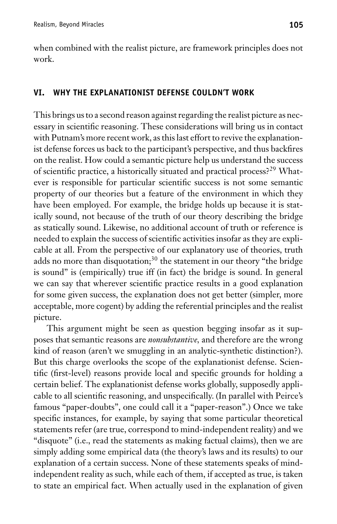when combined with the realist picture, are framework principles does not work.

### **VI. WHY THE EXPLANATIONIST DEFENSE COULDN'T WORK**

This brings us to a second reason against regarding the realist picture as necessary in scientific reasoning. These considerations will bring us in contact with Putnam's more recent work, as this last effort to revive the explanationist defense forces us back to the participant's perspective, and thus backfires on the realist. How could a semantic picture help us understand the success of scientific practice, a historically situated and practical process?<sup>29</sup> Whatever is responsible for particular scientific success is not some semantic property of our theories but a feature of the environment in which they have been employed. For example, the bridge holds up because it is statically sound, not because of the truth of our theory describing the bridge as statically sound. Likewise, no additional account of truth or reference is needed to explain the success of scientific activities insofar as they are explicable at all. From the perspective of our explanatory use of theories, truth adds no more than disquotation; $30$  the statement in our theory "the bridge is sound" is (empirically) true iff (in fact) the bridge is sound. In general we can say that wherever scientific practice results in a good explanation for some given success, the explanation does not get better (simpler, more acceptable, more cogent) by adding the referential principles and the realist picture.

This argument might be seen as question begging insofar as it supposes that semantic reasons are *nonsubstantive,* and therefore are the wrong kind of reason (aren't we smuggling in an analytic-synthetic distinction?). But this charge overlooks the scope of the explanationist defense. Scientific (first-level) reasons provide local and specific grounds for holding a certain belief. The explanationist defense works globally, supposedly applicable to all scientific reasoning, and unspecifically. (In parallel with Peirce's famous "paper-doubts", one could call it a "paper-reason".) Once we take specific instances, for example, by saying that some particular theoretical statements refer (are true, correspond to mind-independent reality) and we "disquote" (i.e., read the statements as making factual claims), then we are simply adding some empirical data (the theory's laws and its results) to our explanation of a certain success. None of these statements speaks of mindindependent reality as such, while each of them, if accepted as true, is taken to state an empirical fact. When actually used in the explanation of given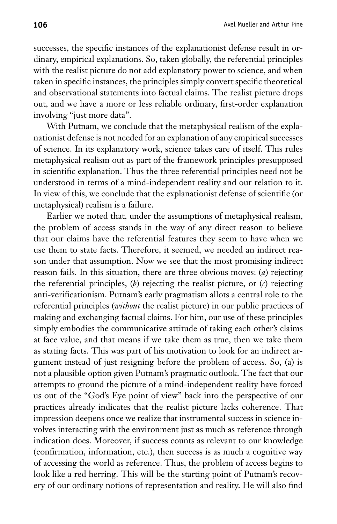successes, the specific instances of the explanationist defense result in ordinary, empirical explanations. So, taken globally, the referential principles with the realist picture do not add explanatory power to science, and when taken in specific instances, the principles simply convert specific theoretical and observational statements into factual claims. The realist picture drops out, and we have a more or less reliable ordinary, first-order explanation involving "just more data".

With Putnam, we conclude that the metaphysical realism of the explanationist defense is not needed foran explanation of any empirical successes of science. In its explanatory work, science takes care of itself. This rules metaphysical realism out as part of the framework principles presupposed in scientific explanation. Thus the three referential principles need not be understood in terms of a mind-independent reality and our relation to it. In view of this, we conclude that the explanationist defense of scientific (or metaphysical) realism is a failure.

Earlier we noted that, under the assumptions of metaphysical realism, the problem of access stands in the way of any direct reason to believe that our claims have the referential features they seem to have when we use them to state facts. Therefore, it seemed, we needed an indirect reason under that assumption. Now we see that the most promising indirect reason fails. In this situation, there are three obvious moves: (*a*) rejecting the referential principles, (*b*) rejecting the realist picture, or (*c*) rejecting anti-verificationism. Putnam's early pragmatism allots a central role to the referential principles (*without* the realist picture) in our public practices of making and exchanging factual claims. For him, our use of these principles simply embodies the communicative attitude of taking each other's claims at face value, and that means if we take them as true, then we take them as stating facts. This was part of his motivation to look for an indirect argument instead of just resigning before the problem of access. So, (a) is not a plausible option given Putnam's pragmatic outlook. The fact that our attempts to ground the picture of a mind-independent reality have forced us out of the "God's Eye point of view" back into the perspective of our practices already indicates that the realist picture lacks coherence. That impression deepens once we realize that instrumental success in science involves interacting with the environment just as much as reference through indication does. Moreover, if success counts as relevant to our knowledge (confirmation, information, etc.), then success is as much a cognitive way of accessing the world as reference. Thus, the problem of access begins to look like a red herring. This will be the starting point of Putnam's recovery of our ordinary notions of representation and reality. He will also find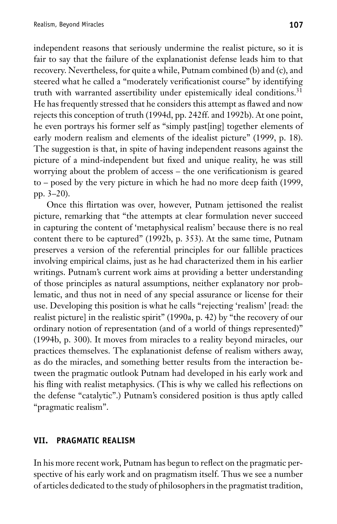independent reasons that seriously undermine the realist picture, so it is fair to say that the failure of the explanationist defense leads him to that recovery. Nevertheless, for quite a while, Putnam combined (b) and (c), and steered what he called a "moderately verificationist course" by identifying truth with warranted assertibility under epistemically ideal conditions.<sup>31</sup> He has frequently stressed that he considers this attempt as flawed and now rejects this conception of truth (1994d, pp. 242ff. and 1992b). At one point, he even portrays his former self as "simply past[ing] together elements of early modern realism and elements of the idealist picture" (1999, p. 18). The suggestion is that, in spite of having independent reasons against the picture of a mind-independent but fixed and unique reality, he was still worrying about the problem of access – the one verificationism is geared to – posed by the very picture in which he had no more deep faith (1999, pp. 3–20).

Once this flirtation was over, however, Putnam jettisoned the realist picture, remarking that "the attempts at clear formulation never succeed in capturing the content of 'metaphysical realism' because there is no real content there to be captured" (1992b, p. 353). At the same time, Putnam preserves a version of the referential principles for our fallible practices involving empirical claims, just as he had characterized them in his earlier writings. Putnam's current work aims at providing a better understanding of those principles as natural assumptions, neither explanatory nor problematic, and thus not in need of any special assurance or license for their use. Developing this position is what he calls "rejecting 'realism' [read: the realist picture] in the realistic spirit" (1990a, p. 42) by "the recovery of our ordinary notion of representation (and of a world of things represented)" (1994b, p. 300). It moves from miracles to a reality beyond miracles, our practices themselves. The explanationist defense of realism withers away, as do the miracles, and something better results from the interaction between the pragmatic outlook Putnam had developed in his early work and his fling with realist metaphysics. (This is why we called his reflections on the defense "catalytic".) Putnam's considered position is thus aptly called "pragmatic realism".

## **VII. PRAGMATIC REALISM**

In his more recent work, Putnam has begun to reflect on the pragmatic perspective of his early work and on pragmatism itself. Thus we see a number of articles dedicated to the study of philosophers in the pragmatist tradition,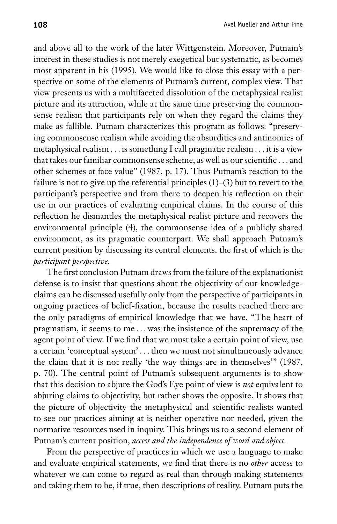and above all to the work of the later Wittgenstein. Moreover, Putnam's interest in these studies is not merely exegetical but systematic, as becomes most apparent in his (1995). We would like to close this essay with a perspective on some of the elements of Putnam's current, complex view. That view presents us with a multifaceted dissolution of the metaphysical realist picture and its attraction, while at the same time preserving the commonsense realism that participants rely on when they regard the claims they make as fallible. Putnam characterizes this program as follows: "preserving commonsense realism while avoiding the absurdities and antinomies of metaphysical realism ... is something I call pragmatic realism ... it is a view that takes our familiar commonsense scheme, as well as our scientific . . . and other schemes at face value" (1987, p. 17). Thus Putnam's reaction to the failure is not to give up the referential principles (1)–(3) but to revert to the participant's perspective and from there to deepen his reflection on their use in our practices of evaluating empirical claims. In the course of this reflection he dismantles the metaphysical realist picture and recovers the environmental principle (4), the commonsense idea of a publicly shared environment, as its pragmatic counterpart. We shall approach Putnam's current position by discussing its central elements, the first of which is the *participant perspective.*

The first conclusion Putnam draws from the failure of the explanationist defense is to insist that questions about the objectivity of our knowledgeclaims can be discussed usefully only from the perspective of participants in ongoing practices of belief-fixation, because the results reached there are the only paradigms of empirical knowledge that we have. "The heart of pragmatism, it seems to me ... was the insistence of the supremacy of the agent point of view. If we find that we must take a certain point of view, use a certain 'conceptual system' ... then we must not simultaneously advance the claim that it is not really 'the way things are in themselves'" (1987, p. 70). The central point of Putnam's subsequent arguments is to show that this decision to abjure the God's Eye point of view is *not* equivalent to abjuring claims to objectivity, but rather shows the opposite. It shows that the picture of objectivity the metaphysical and scientific realists wanted to see our practices aiming at is neither operative nor needed, given the normative resources used in inquiry. This brings us to a second element of Putnam's current position, *access and the independence of word and object.*

From the perspective of practices in which we use a language to make and evaluate empirical statements, we find that there is no *other* access to whatever we can come to regard as real than through making statements and taking them to be, if true, then descriptions of reality. Putnam puts the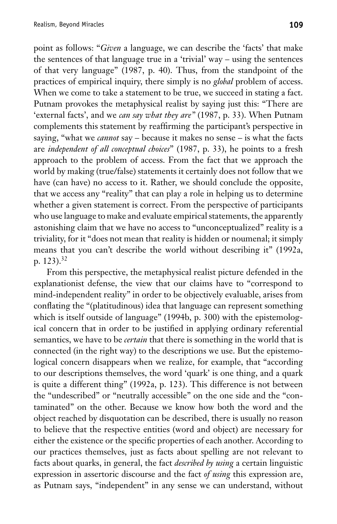point as follows: "*Given* a language, we can describe the 'facts' that make the sentences of that language true in a 'trivial' way – using the sentences of that very language" (1987, p. 40). Thus, from the standpoint of the practices of empirical inquiry, there simply is no *global* problem of access. When we come to take a statement to be true, we succeed in stating a fact. Putnam provokes the metaphysical realist by saying just this: "There are 'external facts', and we *can say what they are"* (1987, p. 33). When Putnam complements this statement by reaffirming the participant's perspective in saying, "what we *cannot* say – because it makes no sense – is what the facts are *independent of all conceptual choices*" (1987, p. 33), he points to a fresh approach to the problem of access. From the fact that we approach the world by making (true/false) statements it certainly does not follow that we have (can have) no access to it. Rather, we should conclude the opposite, that we access any "reality" that can play a role in helping us to determine whether a given statement is correct. From the perspective of participants who use language to make and evaluate empirical statements, the apparently astonishing claim that we have no access to "unconceptualized" reality is a triviality, for it "does not mean that reality is hidden or noumenal; it simply means that you can't describe the world without describing it" (1992a, p.  $123$ ).<sup>32</sup>

From this perspective, the metaphysical realist picture defended in the explanationist defense, the view that our claims have to "correspond to mind-independent reality" in order to be objectively evaluable, arises from conflating the "(platitudinous) idea that language can represent something which is itself outside of language" (1994b, p. 300) with the epistemological concern that in order to be justified in applying ordinary referential semantics, we have to be *certain* that there is something in the world that is connected (in the right way) to the descriptions we use. But the epistemological concern disappears when we realize, for example, that "according to our descriptions themselves, the word 'quark' is one thing, and a quark is quite a different thing" (1992a, p. 123). This difference is not between the "undescribed" or "neutrally accessible" on the one side and the "contaminated" on the other. Because we know how both the word and the object reached by disquotation can be described, there is usually no reason to believe that the respective entities (word and object) are necessary for either the existence or the specific properties of each another. According to our practices themselves, just as facts about spelling are not relevant to facts about quarks, in general, the fact *described by using* a certain linguistic expression in assertoric discourse and the fact *of using* this expression are, as Putnam says, "independent" in any sense we can understand, without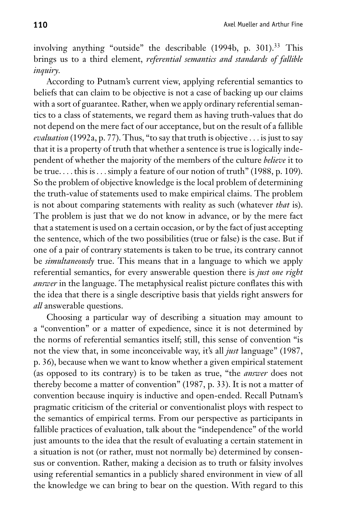involving anything "outside" the describable (1994b, p. 301).<sup>33</sup> This brings us to a third element, *referential semantics and standards of fallible inquiry.*

According to Putnam's current view, applying referential semantics to beliefs that can claim to be objective is not a case of backing up our claims with a sort of guarantee. Rather, when we apply ordinary referential semantics to a class of statements, we regard them as having truth-values that do not depend on the mere fact of our acceptance, but on the result of a fallible *evaluation* (1992a, p. 77). Thus, "to say that truth is objective ... is just to say that it is a property of truth that whether a sentence is true is logically independent of whether the majority of the members of the culture *believe* it to be true. ... this is...simply a feature of our notion of truth" (1988, p. 109). So the problem of objective knowledge is the local problem of determining the truth-value of statements used to make empirical claims. The problem is not about comparing statements with reality as such (whatever *that* is). The problem is just that we do not know in advance, or by the mere fact that a statement is used on a certain occasion, or by the fact of just accepting the sentence, which of the two possibilities (true or false) is the case. But if one of a pair of contrary statements is taken to be true, its contrary cannot be *simultaneously* true. This means that in a language to which we apply referential semantics, for every answerable question there is *just one right answer* in the language. The metaphysical realist picture conflates this with the idea that there is a single descriptive basis that yields right answers for *all* answerable questions.

Choosing a particular way of describing a situation may amount to a "convention" or a matter of expedience, since it is not determined by the norms of referential semantics itself; still, this sense of convention "is not the view that, in some inconceivable way, it's all *just* language" (1987, p. 36), because when we want to know whether a given empirical statement (as opposed to its contrary) is to be taken as true, "the *answer* does not thereby become a matter of convention" (1987, p. 33). It is not a matter of convention because inquiry is inductive and open-ended. Recall Putnam's pragmatic criticism of the criterial or conventionalist ploys with respect to the semantics of empirical terms. From our perspective as participants in fallible practices of evaluation, talk about the "independence" of the world just amounts to the idea that the result of evaluating a certain statement in a situation is not (or rather, must not normally be) determined by consensus or convention. Rather, making a decision as to truth or falsity involves using referential semantics in a publicly shared environment in view of all the knowledge we can bring to bear on the question. With regard to this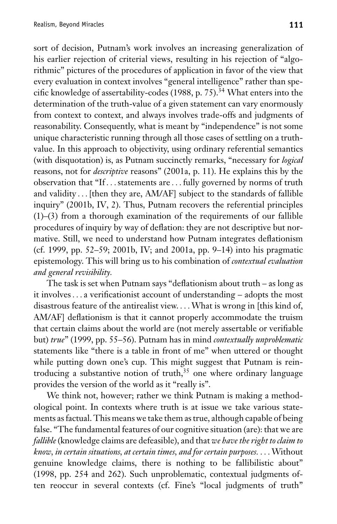sort of decision, Putnam's work involves an increasing generalization of his earlier rejection of criterial views, resulting in his rejection of "algorithmic" pictures of the procedures of application in favor of the view that every evaluation in context involves "general intelligence" rather than specific knowledge of assertability-codes (1988, p. 75).<sup>34</sup> What enters into the determination of the truth-value of a given statement can vary enormously from context to context, and always involves trade-offs and judgments of reasonability. Consequently, what is meant by "independence" is not some unique characteristic running through all those cases of settling on a truthvalue. In this approach to objectivity, using ordinary referential semantics (with disquotation) is, as Putnam succinctly remarks, "necessary for *logical* reasons, not for *descriptive* reasons" (2001a, p. 11). He explains this by the observation that "If ...statements are ... fully governed by norms of truth and validity ... [then they are, AM/AF] subject to the standards of fallible inquiry" (2001b, IV, 2). Thus, Putnam recovers the referential principles (1)–(3) from a thorough examination of the requirements of our fallible procedures of inquiry by way of deflation: they are not descriptive but normative. Still, we need to understand how Putnam integrates deflationism (cf. 1999, pp. 52–59; 2001b, IV; and 2001a, pp. 9–14) into his pragmatic epistemology. This will bring us to his combination of *contextual evaluation and general revisibility.*

The task is set when Putnam says "deflationism about truth – as long as it involves... a verificationist account of understanding – adopts the most disastrous feature of the antirealist view. ...What is wrong in [this kind of, AM/AF] deflationism is that it cannot properly accommodate the truism that certain claims about the world are (not merely assertable or verifiable but) *true*" (1999, pp. 55–56). Putnam has in mind *contextually unproblematic* statements like "there is a table in front of me" when uttered or thought while putting down one's cup. This might suggest that Putnam is reintroducing a substantive notion of truth, $35$  one where ordinary language provides the version of the world as it "really is".

We think not, however; rather we think Putnam is making a methodological point. In contexts where truth is at issue we take various statements as factual. This means we take them as true, although capable of being false. "The fundamental features of our cognitive situation (are): that we are *fallible*(knowledge claims are defeasible), and that *we have the right to claim to know, in certain situations, at certain times, and for certain purposes.* ...Without genuine knowledge claims, there is nothing to be fallibilistic about" (1998, pp. 254 and 262). Such unproblematic, contextual judgments often reoccur in several contexts (cf. Fine's "local judgments of truth"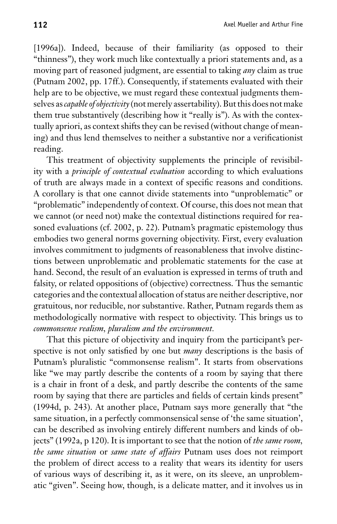[1996a]). Indeed, because of their familiarity (as opposed to their "thinness"), they work much like contextually a priori statements and, as a moving part of reasoned judgment, are essential to taking *any* claim as true (Putnam 2002, pp. 17ff.). Consequently, if statements evaluated with their help are to be objective, we must regard these contextual judgments themselves as*capable of objectivity* (not merely assertability). But this does not make them true substantively (describing how it "really is"). As with the contextually apriori, as context shifts they can be revised (without change of meaning) and thus lend themselves to neither a substantive nor a verificationist reading.

This treatment of objectivity supplements the principle of revisibility with a *principle of contextual evaluation* according to which evaluations of truth are always made in a context of specific reasons and conditions. A corollary is that one cannot divide statements into "unproblematic" or "problematic" independently of context. Of course, this does not mean that we cannot (or need not) make the contextual distinctions required for reasoned evaluations (cf. 2002, p. 22). Putnam's pragmatic epistemology thus embodies two general norms governing objectivity. First, every evaluation involves commitment to judgments of reasonableness that involve distinctions between unproblematic and problematic statements for the case at hand. Second, the result of an evaluation is expressed in terms of truth and falsity, or related oppositions of (objective) correctness. Thus the semantic categories and the contextual allocation of status are neither descriptive, nor gratuitous, nor reducible, nor substantive. Rather, Putnam regards them as methodologically normative with respect to objectivity. This brings us to *commonsense realism, pluralism and the environment.*

That this picture of objectivity and inquiry from the participant's perspective is not only satisfied by one but *many* descriptions is the basis of Putnam's pluralistic "commonsense realism". It starts from observations like "we may partly describe the contents of a room by saying that there is a chair in front of a desk, and partly describe the contents of the same room by saying that there are particles and fields of certain kinds present" (1994d, p. 243). At another place, Putnam says more generally that "the same situation, in a perfectly commonsensical sense of 'the same situation', can be described as involving entirely different numbers and kinds of objects" (1992a, p 120). It is important to see that the notion of *the same room, the same situation* or *same state of affairs* Putnam uses does not reimport the problem of direct access to a reality that wears its identity for users of various ways of describing it, as it were, on its sleeve, an unproblematic "given". Seeing how, though, is a delicate matter, and it involves us in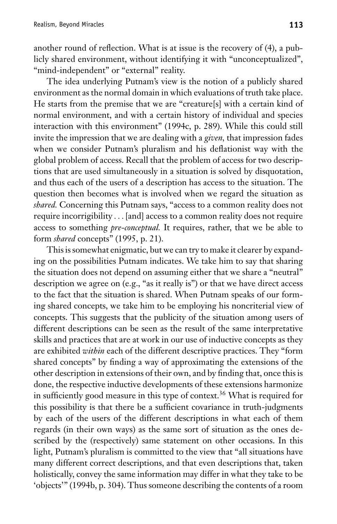another round of reflection. What is at issue is the recovery of (4), a publicly shared environment, without identifying it with "unconceptualized", "mind-independent" or "external" reality.

The idea underlying Putnam's view is the notion of a publicly shared environment as the normal domain in which evaluations of truth take place. He starts from the premise that we are "creature[s] with a certain kind of normal environment, and with a certain history of individual and species interaction with this environment" (1994c, p. 289). While this could still invite the impression that we are dealing with a *given,* that impression fades when we consider Putnam's pluralism and his deflationist way with the global problem of access. Recall that the problem of access for two descriptions that are used simultaneously in a situation is solved by disquotation, and thus each of the users of a description has access to the situation. The question then becomes what is involved when we regard the situation as *shared.* Concerning this Putnam says, "access to a common reality does not require incorrigibility ... [and] access to a common reality does not require access to something *pre-conceptual.* It requires, rather, that we be able to form *shared* concepts" (1995, p. 21).

This is somewhat enigmatic, but we can try to make it clearer by expanding on the possibilities Putnam indicates. We take him to say that sharing the situation does not depend on assuming either that we share a "neutral" description we agree on (e.g., "as it really is") or that we have direct access to the fact that the situation is shared. When Putnam speaks of our forming shared concepts, we take him to be employing his noncriterial view of concepts. This suggests that the publicity of the situation among users of different descriptions can be seen as the result of the same interpretative skills and practices that are at work in our use of inductive concepts as they are exhibited *within* each of the different descriptive practices. They "form shared concepts" by finding a way of approximating the extensions of the other description in extensions of their own, and by finding that, once this is done, the respective inductive developments of these extensions harmonize in sufficiently good measure in this type of context.<sup>36</sup> What is required for this possibility is that there be a sufficient covariance in truth-judgments by each of the users of the different descriptions in what each of them regards (in their own ways) as the same sort of situation as the ones described by the (respectively) same statement on other occasions. In this light, Putnam's pluralism is committed to the view that "all situations have many different correct descriptions, and that even descriptions that, taken holistically, convey the same information may differ in what they take to be 'objects'" (1994b, p. 304). Thus someone describing the contents of a room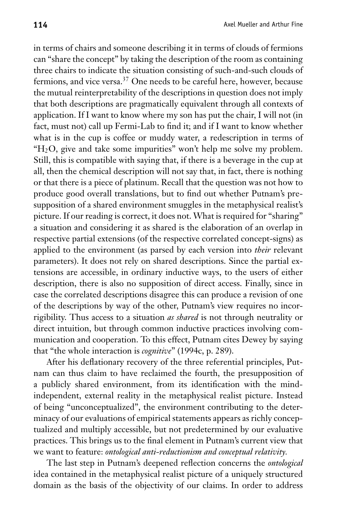in terms of chairs and someone describing it in terms of clouds of fermions can "share the concept" by taking the description of the room as containing three chairs to indicate the situation consisting of such-and-such clouds of fermions, and vice versa.<sup>37</sup> One needs to be careful here, however, because the mutual reinterpretability of the descriptions in question does not imply that both descriptions are pragmatically equivalent through all contexts of application. If I want to know where my son has put the chair, I will not (in fact, must not) call up Fermi-Lab to find it; and if I want to know whether what is in the cup is coffee or muddy water, a redescription in terms of " $H<sub>2</sub>O$ , give and take some impurities" won't help me solve my problem. Still, this is compatible with saying that, if there is a beverage in the cup at all, then the chemical description will not say that, in fact, there is nothing or that there is a piece of platinum. Recall that the question was not how to produce good overall translations, but to find out whether Putnam's presupposition of a shared environment smuggles in the metaphysical realist's picture. If our reading is correct, it does not. What is required for "sharing" a situation and considering it as shared is the elaboration of an overlap in respective partial extensions (of the respective correlated concept-signs) as applied to the environment (as parsed by each version into *their* relevant parameters). It does not rely on shared descriptions. Since the partial extensions are accessible, in ordinary inductive ways, to the users of either description, there is also no supposition of direct access. Finally, since in case the correlated descriptions disagree this can produce a revision of one of the descriptions by way of the other, Putnam's view requires no incorrigibility. Thus access to a situation *as shared* is not through neutrality or direct intuition, but through common inductive practices involving communication and cooperation. To this effect, Putnam cites Dewey by saying that "the whole interaction is *cognitive*" (1994c, p. 289).

After his deflationary recovery of the three referential principles, Putnam can thus claim to have reclaimed the fourth, the presupposition of a publicly shared environment, from its identification with the mindindependent, external reality in the metaphysical realist picture. Instead of being "unconceptualized", the environment contributing to the determinacy of our evaluations of empirical statements appears as richly conceptualized and multiply accessible, but not predetermined by our evaluative practices. This brings us to the final element in Putnam's current view that we want to feature: *ontological anti-reductionism and conceptual relativity.*

The last step in Putnam's deepened reflection concerns the *ontological* idea contained in the metaphysical realist picture of a uniquely structured domain as the basis of the objectivity of our claims. In order to address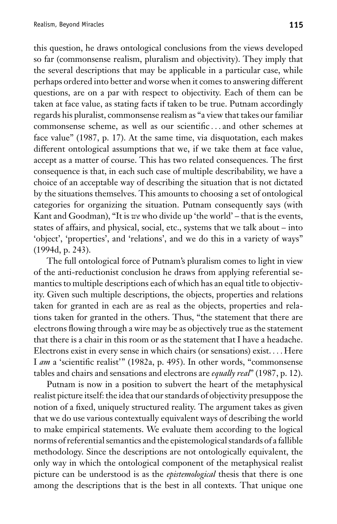this question, he draws ontological conclusions from the views developed so far (commonsense realism, pluralism and objectivity). They imply that the several descriptions that may be applicable in a particular case, while perhaps ordered into better and worse when it comes to answering different questions, are on a par with respect to objectivity. Each of them can be taken at face value, as stating facts if taken to be true. Putnam accordingly regards his pluralist, commonsense realism as "a view that takes our familiar commonsense scheme, as well as our scientific ... and other schemes at face value" (1987, p. 17). At the same time, via disquotation, each makes different ontological assumptions that we, if we take them at face value, accept as a matter of course. This has two related consequences. The first consequence is that, in each such case of multiple describability, we have a choice of an acceptable way of describing the situation that is not dictated by the situations themselves. This amounts to choosing a set of ontological categories for organizing the situation. Putnam consequently says (with Kant and Goodman), "It is *we* who divide up 'the world' – that is the events, states of affairs, and physical, social, etc., systems that we talk about – into 'object', 'properties', and 'relations', and we do this in a variety of ways" (1994d, p. 243).

The full ontological force of Putnam's pluralism comes to light in view of the anti-reductionist conclusion he draws from applying referential semantics to multiple descriptions each of which has an equal title to objectivity. Given such multiple descriptions, the objects, properties and relations taken for granted in each are as real as the objects, properties and relations taken for granted in the others. Thus, "the statement that there are electrons flowing through a wire may be as objectively true as the statement that there is a chair in this room or as the statement that I have a headache. Electrons exist in every sense in which chairs (or sensations) exist. ... Here I *am* a 'scientific realist'" (1982a, p. 495). In other words, "commonsense tables and chairs and sensations and electrons are *equally real*" (1987, p. 12).

Putnam is now in a position to subvert the heart of the metaphysical realist picture itself: the idea that our standards of objectivity presuppose the notion of a fixed, uniquely structured reality. The argument takes as given that we do use various contextually equivalent ways of describing the world to make empirical statements. We evaluate them according to the logical norms of referential semantics and the epistemological standards of a fallible methodology. Since the descriptions are not ontologically equivalent, the only way in which the ontological component of the metaphysical realist picture can be understood is as the *epistemological* thesis that there is one among the descriptions that is the best in all contexts. That unique one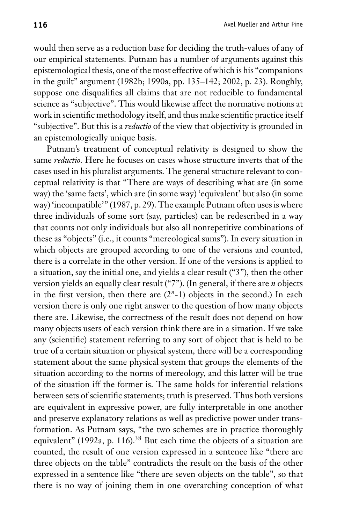would then serve as a reduction base for deciding the truth-values of any of our empirical statements. Putnam has a number of arguments against this epistemological thesis, one of the most effective of which is his "companions in the guilt" argument (1982b; 1990a, pp. 135–142; 2002, p. 23). Roughly, suppose one disqualifies all claims that are not reducible to fundamental science as "subjective". This would likewise affect the normative notions at work in scientific methodology itself, and thus make scientific practice itself "subjective". But this is a *reductio* of the view that objectivity is grounded in an epistemologically unique basis.

Putnam's treatment of conceptual relativity is designed to show the same *reductio.* Here he focuses on cases whose structure inverts that of the cases used in his pluralist arguments. The general structure relevant to conceptual relativity is that "There are ways of describing what are (in some way) the 'same facts', which are (in some way) 'equivalent' but also (in some way) 'incompatible'" (1987, p. 29). The example Putnam often uses is where three individuals of some sort (say, particles) can be redescribed in a way that counts not only individuals but also all nonrepetitive combinations of these as "objects" (i.e., it counts "mereological sums"). In every situation in which objects are grouped according to one of the versions and counted, there is a correlate in the other version. If one of the versions is applied to a situation, say the initial one, and yields a clear result ("3"), then the other version yields an equally clear result ("7"). (In general, if there are *n* objects in the first version, then there are  $(2<sup>n</sup>-1)$  objects in the second.) In each version there is only one right answer to the question of how many objects there are. Likewise, the correctness of the result does not depend on how many objects users of each version think there are in a situation. If we take any (scientific) statement referring to any sort of object that is held to be true of a certain situation or physical system, there will be a corresponding statement about the same physical system that groups the elements of the situation according to the norms of mereology, and this latter will be true of the situation iff the former is. The same holds for inferential relations between sets of scientific statements; truth is preserved. Thus both versions are equivalent in expressive power, are fully interpretable in one another and preserve explanatory relations as well as predictive power under transformation. As Putnam says, "the two schemes are in practice thoroughly equivalent" (1992a, p. 116).<sup>38</sup> But each time the objects of a situation are counted, the result of one version expressed in a sentence like "there are three objects on the table" contradicts the result on the basis of the other expressed in a sentence like "there are seven objects on the table", so that there is no way of joining them in one overarching conception of what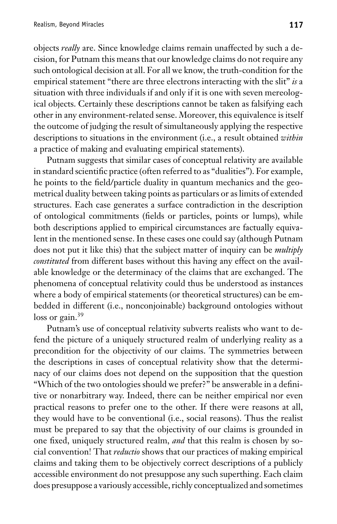objects *really* are. Since knowledge claims remain unaffected by such a decision, for Putnam this means that our knowledge claims do not require any such ontological decision at all. For all we know, the truth-condition for the empirical statement "there are three electrons interacting with the slit" *is* a situation with three individuals if and only if it is one with seven mereological objects. Certainly these descriptions cannot be taken as falsifying each other in any environment-related sense. Moreover, this equivalence is itself the outcome of judging the result of simultaneously applying the respective descriptions to situations in the environment (i.e., a result obtained *within* a practice of making and evaluating empirical statements).

Putnam suggests that similar cases of conceptual relativity are available in standard scientific practice (often referred to as "dualities"). For example, he points to the field/particle duality in quantum mechanics and the geometrical duality between taking points as particulars or as limits of extended structures. Each case generates a surface contradiction in the description of ontological commitments (fields or particles, points or lumps), while both descriptions applied to empirical circumstances are factually equivalent in the mentioned sense. In these cases one could say (although Putnam does not put it like this) that the subject matterof inquiry can be *multiply constituted* from different bases without this having any effect on the available knowledge or the determinacy of the claims that are exchanged. The phenomena of conceptual relativity could thus be understood as instances where a body of empirical statements (or theoretical structures) can be embedded in different (i.e., nonconjoinable) background ontologies without loss or gain. $39$ 

Putnam's use of conceptual relativity subverts realists who want to defend the picture of a uniquely structured realm of underlying reality as a precondition for the objectivity of our claims. The symmetries between the descriptions in cases of conceptual relativity show that the determinacy of our claims does not depend on the supposition that the question "Which of the two ontologies should we prefer?" be answerable in a definitive or nonarbitrary way. Indeed, there can be neither empirical nor even practical reasons to prefer one to the other. If there were reasons at all, they would have to be conventional (i.e., social reasons). Thus the realist must be prepared to say that the objectivity of our claims is grounded in one fixed, uniquely structured realm, *and* that this realm is chosen by social convention! That *reductio* shows that our practices of making empirical claims and taking them to be objectively correct descriptions of a publicly accessible environment do not presuppose any such superthing. Each claim does presuppose a variously accessible, richly conceptualized and sometimes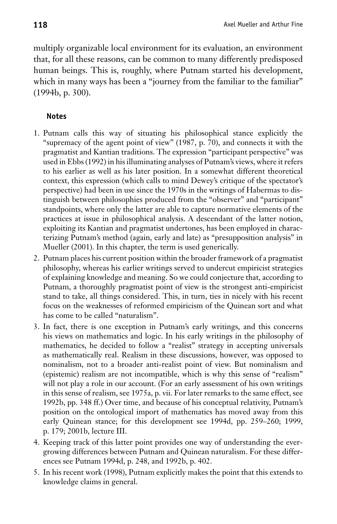multiply organizable local environment for its evaluation, an environment that, for all these reasons, can be common to many differently predisposed human beings. This is, roughly, where Putnam started his development, which in many ways has been a "journey from the familiar to the familiar" (1994b, p. 300).

### **Notes**

- 1. Putnam calls this way of situating his philosophical stance explicitly the "supremacy of the agent point of view" (1987, p. 70), and connects it with the pragmatist and Kantian traditions. The expression "participant perspective" was used in Ebbs (1992) in his illuminating analyses of Putnam's views, where it refers to his earlier as well as his later position. In a somewhat different theoretical context, this expression (which calls to mind Dewey's critique of the spectator's perspective) had been in use since the 1970s in the writings of Habermas to distinguish between philosophies produced from the "observer" and "participant" standpoints, where only the latter are able to capture normative elements of the practices at issue in philosophical analysis. A descendant of the latter notion, exploiting its Kantian and pragmatist undertones, has been employed in characterizing Putnam's method (again, early and late) as "presupposition analysis" in Mueller (2001). In this chapter, the term is used generically.
- 2. Putnam places his current position within the broader framework of a pragmatist philosophy, whereas his earlier writings served to undercut empiricist strategies of explaining knowledge and meaning. So we could conjecture that, according to Putnam, a thoroughly pragmatist point of view is the strongest anti-empiricist stand to take, all things considered. This, in turn, ties in nicely with his recent focus on the weaknesses of reformed empiricism of the Quinean sort and what has come to be called "naturalism".
- 3. In fact, there is one exception in Putnam's early writings, and this concerns his views on mathematics and logic. In his early writings in the philosophy of mathematics, he decided to follow a "realist" strategy in accepting universals as mathematically real. Realism in these discussions, however, was opposed to nominalism, not to a broader anti-realist point of view. But nominalism and (epistemic) realism are not incompatible, which is why this sense of "realism" will not play a role in our account. (For an early assessment of his own writings in this sense of realism, see 1975a, p. vii. For later remarks to the same effect, see 1992b, pp. 348 ff.) Over time, and because of his conceptual relativity, Putnam's position on the ontological import of mathematics has moved away from this early Quinean stance; for this development see 1994d, pp. 259–260; 1999, p. 179; 2001b, lecture III.
- 4. Keeping track of this latter point provides one way of understanding the evergrowing differences between Putnam and Quinean naturalism. For these differences see Putnam 1994d, p. 248, and 1992b, p. 402.
- 5. In his recent work (1998), Putnam explicitly makes the point that this extends to knowledge claims in general.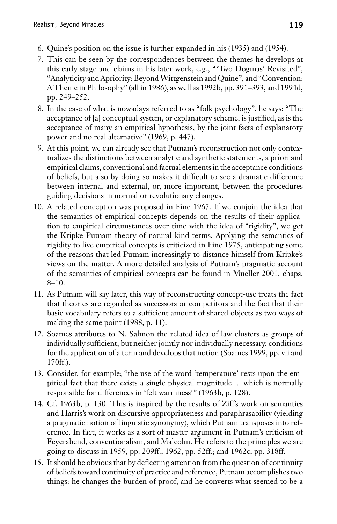- 6. Quine's position on the issue is further expanded in his (1935) and (1954).
- 7. This can be seen by the correspondences between the themes he develops at this early stage and claims in his later work, e.g., "'Two Dogmas' Revisited", "Analyticity and Apriority: BeyondWittgenstein and Quine", and "Convention: A Theme in Philosophy" (all in 1986), as well as 1992b, pp. 391–393, and 1994d, pp. 249–252.
- 8. In the case of what is nowadays referred to as "folk psychology", he says: "The acceptance of [a] conceptual system, orexplanatory scheme, is justified, as is the acceptance of many an empirical hypothesis, by the joint facts of explanatory power and no real alternative" (1969, p. 447).
- 9. At this point, we can already see that Putnam's reconstruction not only contextualizes the distinctions between analytic and synthetic statements, a priori and empirical claims, conventional and factual elements in the acceptance conditions of beliefs, but also by doing so makes it difficult to see a dramatic difference between internal and external, or, more important, between the procedures guiding decisions in normal or revolutionary changes.
- 10. A related conception was proposed in Fine 1967. If we conjoin the idea that the semantics of empirical concepts depends on the results of their application to empirical circumstances over time with the idea of "rigidity", we get the Kripke-Putnam theory of natural-kind terms. Applying the semantics of rigidity to live empirical concepts is criticized in Fine 1975, anticipating some of the reasons that led Putnam increasingly to distance himself from Kripke's views on the matter. A more detailed analysis of Putnam's pragmatic account of the semantics of empirical concepts can be found in Mueller 2001, chaps. 8–10.
- 11. As Putnam will say later, this way of reconstructing concept-use treats the fact that theories are regarded as successors or competitors and the fact that their basic vocabulary refers to a sufficient amount of shared objects as two ways of making the same point (1988, p. 11).
- 12. Soames attributes to N. Salmon the related idea of law clusters as groups of individually sufficient, but neither jointly nor individually necessary, conditions for the application of a term and develops that notion (Soames 1999, pp. vii and 170ff.).
- 13. Consider, for example; "the use of the word 'temperature' rests upon the empirical fact that there exists a single physical magnitude ... which is normally responsible for differences in 'felt warmness'" (1963b, p. 128).
- 14. Cf. 1963b, p. 130. This is inspired by the results of Ziff's work on semantics and Harris's work on discursive appropriateness and paraphrasability (yielding a pragmatic notion of linguistic synonymy), which Putnam transposes into reference. In fact, it works as a sort of master argument in Putnam's criticism of Feyerabend, conventionalism, and Malcolm. He refers to the principles we are going to discuss in 1959, pp. 209ff.; 1962, pp. 52ff.; and 1962c, pp. 318ff.
- 15. It should be obvious that by deflecting attention from the question of continuity of beliefs toward continuity of practice and reference, Putnam accomplishes two things: he changes the burden of proof, and he converts what seemed to be a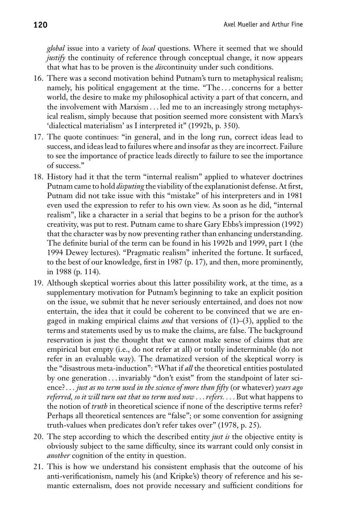*global* issue into a variety of *local* questions. Where it seemed that we should *justify* the continuity of reference through conceptual change, it now appears that what has to be proven is the *dis*continuity under such conditions.

- 16. There was a second motivation behind Putnam's turn to metaphysical realism; namely, his political engagement at the time. "The ... concerns for a better world, the desire to make my philosophical activity a part of that concern, and the involvement with Marxism ... led me to an increasingly strong metaphysical realism, simply because that position seemed more consistent with Marx's 'dialectical materialism' as I interpreted it" (1992b, p. 350).
- 17. The quote continues: "in general, and in the long run, correct ideas lead to success, and ideas lead to failures where and insofar as they are incorrect. Failure to see the importance of practice leads directly to failure to see the importance of success."
- 18. History had it that the term "internal realism" applied to whatever doctrines Putnam came to hold *disputing* the viability of the explanationist defense. At first, Putnam did not take issue with this "mistake" of his interpreters and in 1981 even used the expression to refer to his own view. As soon as he did, "internal realism", like a character in a serial that begins to be a prison for the author's creativity, was put to rest. Putnam came to share Gary Ebbs's impression (1992) that the character was by now preventing rather than enhancing understanding. The definite burial of the term can be found in his 1992b and 1999, part 1 (the 1994 Dewey lectures). "Pragmatic realism" inherited the fortune. It surfaced, to the best of our knowledge, first in 1987 (p. 17), and then, more prominently, in 1988 (p. 114).
- 19. Although skeptical worries about this latter possibility work, at the time, as a supplementary motivation for Putnam's beginning to take an explicit position on the issue, we submit that he never seriously entertained, and does not now entertain, the idea that it could be coherent to be convinced that we are engaged in making empirical claims *and* that versions of (1)–(3), applied to the terms and statements used by us to make the claims, are false. The background reservation is just the thought that we cannot make sense of claims that are empirical but empty (i.e., do not refer at all) or totally indeterminable (do not refer in an evaluable way). The dramatized version of the skeptical worry is the "disastrous meta-induction": "What if *all* the theoretical entities postulated by one generation ... invariably "don't exist" from the standpoint of later science?... *just as no term used in the science of more than fifty* (orwhatever) *years ago referred, so it will turn out that no term used now*... *refers.* ... But what happens to the notion of *truth* in theoretical science if none of the descriptive terms refer? Perhaps all theoretical sentences are "false"; or some convention for assigning truth-values when predicates don't refer takes over" (1978, p. 25).
- 20. The step according to which the described entity *just is* the objective entity is obviously subject to the same difficulty, since its warrant could only consist in *another* cognition of the entity in question.
- 21. This is how we understand his consistent emphasis that the outcome of his anti-verificationism, namely his (and Kripke's) theory of reference and his semantic externalism, does not provide necessary and sufficient conditions for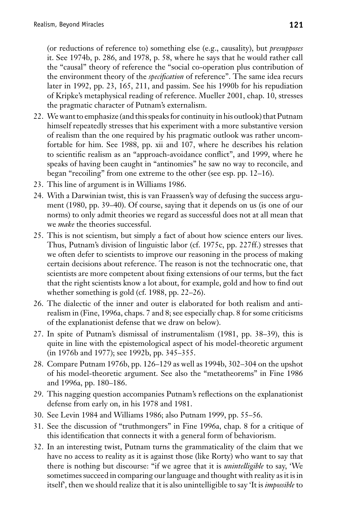(or reductions of reference to) something else (e.g., causality), but *presupposes* it. See 1974b, p. 286, and 1978, p. 58, where he says that he would rather call the "causal" theory of reference the "social co-operation plus contribution of the environment theory of the *specification* of reference". The same idea recurs later in 1992, pp. 23, 165, 211, and passim. See his 1990b for his repudiation of Kripke's metaphysical reading of reference. Mueller 2001, chap. 10, stresses the pragmatic character of Putnam's externalism.

- 22. We want to emphasize (and this speaks forcontinuity in his outlook) that Putnam himself repeatedly stresses that his experiment with a more substantive version of realism than the one required by his pragmatic outlook was rather uncomfortable for him. See 1988, pp. xii and 107, where he describes his relation to scientific realism as an "approach-avoidance conflict", and 1999, where he speaks of having been caught in "antinomies" he saw no way to reconcile, and began "recoiling" from one extreme to the other (see esp. pp. 12–16).
- 23. This line of argument is in Williams 1986.
- 24. With a Darwinian twist, this is van Fraassen's way of defusing the success argument (1980, pp. 39–40). Of course, saying that it depends on us (is one of our norms) to only admit theories we regard as successful does not at all mean that we *make* the theories successful.
- 25. This is not scientism, but simply a fact of about how science enters our lives. Thus, Putnam's division of linguistic labor (cf. 1975c, pp. 227ff.) stresses that we often defer to scientists to improve our reasoning in the process of making certain decisions about reference. The reason is not the technocratic one, that scientists are more competent about fixing extensions of our terms, but the fact that the right scientists know a lot about, for example, gold and how to find out whether something is gold (cf. 1988, pp.  $22-26$ ).
- 26. The dialectic of the inner and outer is elaborated for both realism and antirealism in (Fine, 1996a, chaps. 7 and 8; see especially chap. 8 for some criticisms of the explanationist defense that we draw on below).
- 27. In spite of Putnam's dismissal of instrumentalism (1981, pp. 38–39), this is quite in line with the epistemological aspect of his model-theoretic argument (in 1976b and 1977); see 1992b, pp. 345–355.
- 28. Compare Putnam 1976b, pp. 126–129 as well as 1994b, 302–304 on the upshot of his model-theoretic argument. See also the "metatheorems" in Fine 1986 and 1996a, pp. 180–186.
- 29. This nagging question accompanies Putnam's reflections on the explanationist defense from early on, in his 1978 and 1981.
- 30. See Levin 1984 and Williams 1986; also Putnam 1999, pp. 55–56.
- 31. See the discussion of "truthmongers" in Fine 1996a, chap. 8 for a critique of this identification that connects it with a general form of behaviorism.
- 32. In an interesting twist, Putnam turns the grammaticality of the claim that we have no access to reality as it is against those (like Rorty) who want to say that there is nothing but discourse: "if we agree that it is *unintelligible* to say, 'We sometimes succeed in comparing our language and thought with reality as it is in itself', then we should realize that it is also unintelligible to say 'It is *impossible* to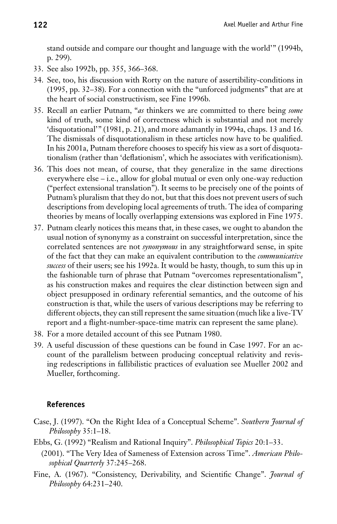stand outside and compare our thought and language with the world'" (1994b, p. 299).

- 33. See also 1992b, pp. 355, 366–368.
- 34. See, too, his discussion with Rorty on the nature of assertibility-conditions in (1995, pp. 32–38). For a connection with the "unforced judgments" that are at the heart of social constructivism, see Fine 1996b.
- 35. Recall an earlier Putnam, "*as* thinkers we are committed to there being *some* kind of truth, some kind of correctness which is substantial and not merely 'disquotational'" (1981, p. 21), and more adamantly in 1994a, chaps. 13 and 16. The dismissals of disquotationalism in these articles now have to be qualified. In his 2001a, Putnam therefore chooses to specify his view as a sort of disquotationalism (rather than 'deflationism', which he associates with verificationism).
- 36. This does not mean, of course, that they generalize in the same directions everywhere else – i.e., allow for global mutual or even only one-way reduction ("perfect extensional translation"). It seems to be precisely one of the points of Putnam's pluralism that they do not, but that this does not prevent users of such descriptions from developing local agreements of truth. The idea of comparing theories by means of locally overlapping extensions was explored in Fine 1975.
- 37. Putnam clearly notices this means that, in these cases, we ought to abandon the usual notion of synonymy as a constraint on successful interpretation, since the correlated sentences are not *synonymous* in any straightforward sense, in spite of the fact that they can make an equivalent contribution to the *communicative success* of their users; see his 1992a. It would be hasty, though, to sum this up in the fashionable turn of phrase that Putnam "overcomes representationalism", as his construction makes and requires the clear distinction between sign and object presupposed in ordinary referential semantics, and the outcome of his construction is that, while the users of various descriptions may be referring to different objects, they can still represent the same situation (much like a live-TV report and a flight-number-space-time matrix can represent the same plane).
- 38. Fora more detailed account of this see Putnam 1980.
- 39. A useful discussion of these questions can be found in Case 1997. Foran account of the parallelism between producing conceptual relativity and revising redescriptions in fallibilistic practices of evaluation see Mueller 2002 and Mueller, forthcoming.

#### **References**

- Case, J. (1997). "On the Right Idea of a Conceptual Scheme". *Southern Journal of Philosophy* 35:1–18.
- Ebbs, G. (1992) "Realism and Rational Inquiry". *Philosophical Topics* 20:1–33.
- (2001). "The Very Idea of Sameness of Extension across Time". *American Philosophical Quarterly* 37:245–268.
- Fine, A. (1967). "Consistency, Derivability, and Scientific Change". *Journal of Philosophy* 64:231–240.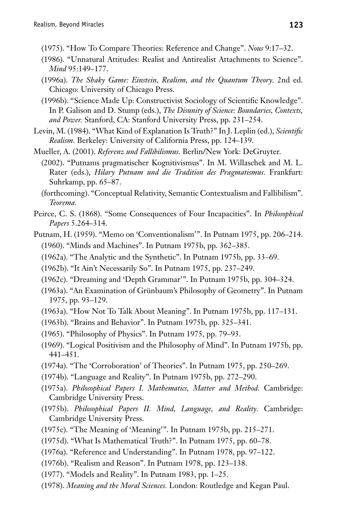- (1975). "How To Compare Theories: Reference and Change". *Nous* 9:17–32.
- (1986). "Unnatural Attitudes: Realist and Antirealist Attachments to Science". *Mind* 95:149–177.
- (1996a). *The Shaky Game: Einstein, Realism, and the Quantum Theory.* 2nd ed. Chicago: University of Chicago Press.
- (1996b). "Science Made Up: Constructivist Sociology of Scientific Knowledge". In P. Galison and D. Stump (eds.), *The Disunity of Science: Boundaries, Contexts, and Power.* Stanford, CA: Stanford University Press, pp. 231–254.
- Levin, M. (1984). "What Kind of Explanation Is Truth?" In J. Leplin (ed.), *Scientific Realism.* Berkeley: University of California Press, pp. 124–139.
- Mueller, A. (2001). *Referenz und Fallibilismus.* Berlin/New York: DeGruyter.
	- (2002). "Putnams pragmatischer Kognitivismus". In M. Willaschek and M. L. Rater (eds.), *Hilary Putnam und die Tradition des Pragmatismus*. Frankfurt: Suhrkamp, pp. 65–87.

(forthcoming). "Conceptual Relativity, Semantic Contextualism and Fallibilism". *Teorema.*

- Peirce, C. S. (1868). "Some Consequences of Four Incapacities". In *Philosophical Papers* 5.264–314.
- Putnam, H. (1959). "Memo on 'Conventionalism'". In Putnam 1975, pp. 206–214. (1960). "Minds and Machines". In Putnam 1975b, pp. 362–385.
	- (1962a). "The Analytic and the Synthetic". In Putnam 1975b, pp. 33–69.
	- (1962b). "It Ain't Necessarily So". In Putnam 1975, pp. 237–249.
	- (1962c). "Dreaming and 'Depth Grammar'". In Putnam 1975b, pp. 304–324.
	- (1963a). "An Examination of Grünbaum's Philosophy of Geometry". In Putnam 1975, pp. 93–129.
	- (1963a). "How Not To Talk About Meaning". In Putnam 1975b, pp. 117–131.
	- (1963b). "Brains and Behavior". In Putnam 1975b, pp. 325–341.
	- (1965). "Philosophy of Physics". In Putnam 1975, pp. 79–93.
	- (1969). "Logical Positivism and the Philosophy of Mind". In Putnam 1975b, pp. 441–451.
	- (1974a). "The 'Corroboration' of Theories". In Putnam 1975, pp. 250–269.
	- (1974b). "Language and Reality". In Putnam 1975b, pp. 272–290.
	- (1975a). *Philosophical Papers I. Mathematics, Matter and Method.* Cambridge: Cambridge University Press.
	- (1975b). *Philosophical Papers II. Mind, Language, and Reality.* Cambridge: Cambridge University Press.
	- (1975c). "The Meaning of 'Meaning'". In Putnam 1975b, pp. 215–271.
	- (1975d). "What Is Mathematical Truth?". In Putnam 1975, pp. 60–78.
	- (1976a). "Reference and Understanding". In Putnam 1978, pp. 97–122.
	- (1976b). "Realism and Reason". In Putnam 1978, pp. 123–138.
	- (1977). "Models and Reality". In Putnam 1983, pp. 1–25.
	- (1978). *Meaning and the Moral Sciences.* London: Routledge and Kegan Paul.